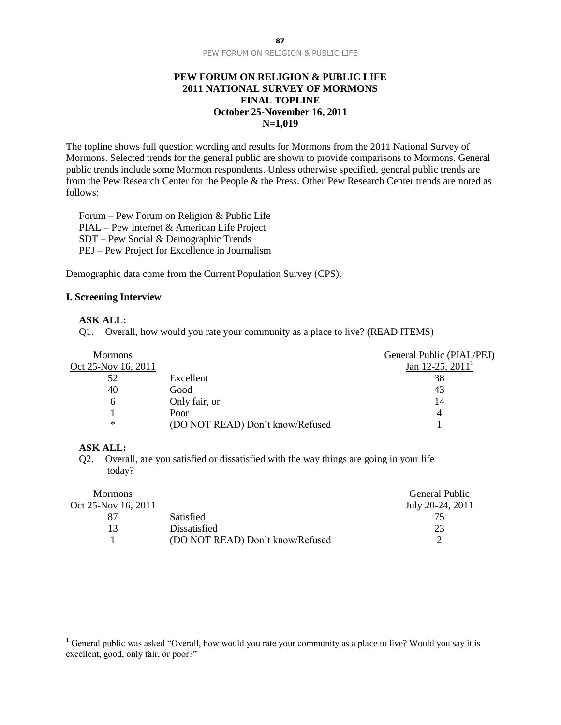#### **PEW FORUM ON RELIGION & PUBLIC LIFE 2011 NATIONAL SURVEY OF MORMONS FINAL TOPLINE October 25-November 16, 2011 N=1,019**

The topline shows full question wording and results for Mormons from the 2011 National Survey of Mormons. Selected trends for the general public are shown to provide comparisons to Mormons. General public trends include some Mormon respondents. Unless otherwise specified, general public trends are from the Pew Research Center for the People & the Press. Other Pew Research Center trends are noted as follows:

Forum – Pew Forum on Religion & Public Life PIAL – Pew Internet & American Life Project SDT – Pew Social & Demographic Trends PEJ – Pew Project for Excellence in Journalism

Demographic data come from the Current Population Survey (CPS).

#### **I. Screening Interview**

#### **ASK ALL:**

Q1. Overall, how would you rate your community as a place to live? (READ ITEMS)

| <b>Mormons</b>      |                                  | General Public (PIAL/PEJ) |
|---------------------|----------------------------------|---------------------------|
| Oct 25-Nov 16, 2011 |                                  | Jan 12-25, $20111$        |
| 52                  | Excellent                        | 38                        |
| 40                  | Good                             | 43                        |
| h                   | Only fair, or                    | 14                        |
|                     | Poor                             |                           |
| ∗                   | (DO NOT READ) Don't know/Refused |                           |

## **ASK ALL:**

 $\overline{a}$ 

Q2. Overall, are you satisfied or dissatisfied with the way things are going in your life today?

| <b>Mormons</b>      |                                  | General Public   |
|---------------------|----------------------------------|------------------|
| Oct 25-Nov 16, 2011 |                                  | July 20-24, 2011 |
| 87                  | <b>Satisfied</b>                 | 75               |
| 13                  | Dissatisfied                     | 23               |
|                     | (DO NOT READ) Don't know/Refused |                  |

<sup>&</sup>lt;sup>1</sup> General public was asked "Overall, how would you rate your community as a place to live? Would you say it is excellent, good, only fair, or poor?"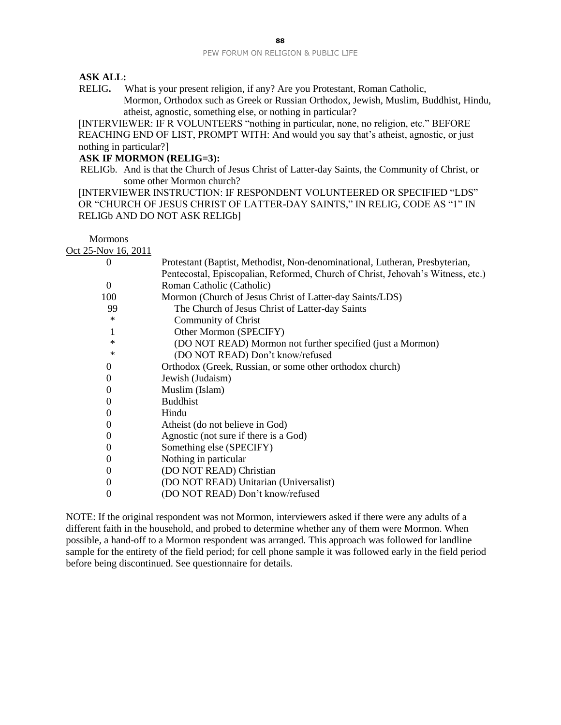#### **ASK ALL:**

RELIG**.** What is your present religion, if any? Are you Protestant, Roman Catholic, Mormon, Orthodox such as Greek or Russian Orthodox, Jewish, Muslim, Buddhist, Hindu, atheist, agnostic, something else, or nothing in particular?

[INTERVIEWER: IF R VOLUNTEERS "nothing in particular, none, no religion, etc." BEFORE REACHING END OF LIST, PROMPT WITH: And would you say that's atheist, agnostic, or just nothing in particular?]

#### **ASK IF MORMON (RELIG=3):**

RELIGb. And is that the Church of Jesus Christ of Latter-day Saints, the Community of Christ, or some other Mormon church?

[INTERVIEWER INSTRUCTION: IF RESPONDENT VOLUNTEERED OR SPECIFIED "LDS" OR "CHURCH OF JESUS CHRIST OF LATTER-DAY SAINTS," IN RELIG, CODE AS "1" IN RELIGb AND DO NOT ASK RELIGb]

Mormons Oct 25-Nov 16, 2011

| $\theta$ | Protestant (Baptist, Methodist, Non-denominational, Lutheran, Presbyterian,     |
|----------|---------------------------------------------------------------------------------|
|          | Pentecostal, Episcopalian, Reformed, Church of Christ, Jehovah's Witness, etc.) |
| $\Omega$ | Roman Catholic (Catholic)                                                       |
| 100      | Mormon (Church of Jesus Christ of Latter-day Saints/LDS)                        |
| 99       | The Church of Jesus Christ of Latter-day Saints                                 |
| ∗        | Community of Christ                                                             |
| l        | Other Mormon (SPECIFY)                                                          |
| ∗        | (DO NOT READ) Mormon not further specified (just a Mormon)                      |
| ∗        | (DO NOT READ) Don't know/refused                                                |
| $\Omega$ | Orthodox (Greek, Russian, or some other orthodox church)                        |
| $\Omega$ | Jewish (Judaism)                                                                |
| $\Omega$ | Muslim (Islam)                                                                  |
| $\theta$ | <b>Buddhist</b>                                                                 |
| $\Omega$ | Hindu                                                                           |
| $\Omega$ | Atheist (do not believe in God)                                                 |
| $\theta$ | Agnostic (not sure if there is a God)                                           |
| $\theta$ | Something else (SPECIFY)                                                        |
| $\Omega$ | Nothing in particular                                                           |
| $\Omega$ | (DO NOT READ) Christian                                                         |
| 0        | (DO NOT READ) Unitarian (Universalist)                                          |
| 0        | (DO NOT READ) Don't know/refused                                                |

NOTE: If the original respondent was not Mormon, interviewers asked if there were any adults of a different faith in the household, and probed to determine whether any of them were Mormon. When possible, a hand-off to a Mormon respondent was arranged. This approach was followed for landline sample for the entirety of the field period; for cell phone sample it was followed early in the field period before being discontinued. See questionnaire for details.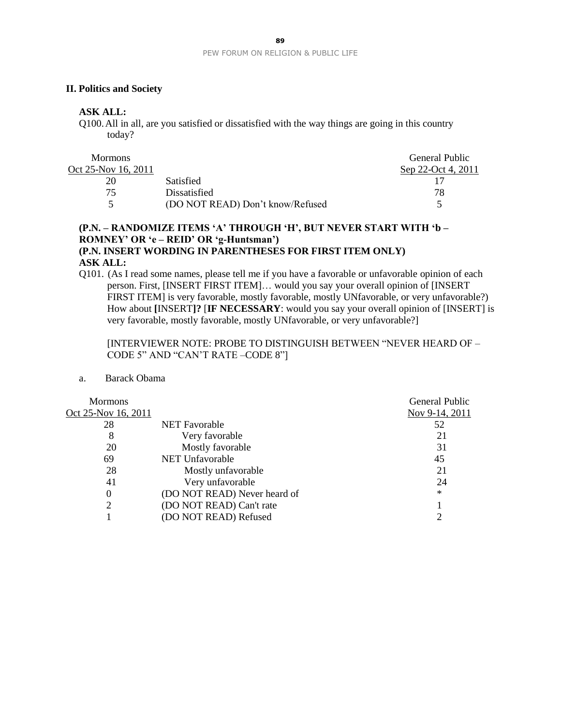#### **II. Politics and Society**

## **ASK ALL:**

Q100.All in all, are you satisfied or dissatisfied with the way things are going in this country today?

| <b>Mormons</b>      |                                  | General Public     |
|---------------------|----------------------------------|--------------------|
| Oct 25-Nov 16, 2011 |                                  | Sep 22-Oct 4, 2011 |
| 20                  | Satisfied                        |                    |
| 75.                 | Dissatisfied                     | 78                 |
|                     | (DO NOT READ) Don't know/Refused |                    |

## **(P.N. – RANDOMIZE ITEMS 'A' THROUGH 'H', BUT NEVER START WITH 'b – ROMNEY' OR 'e – REID' OR 'g-Huntsman') (P.N. INSERT WORDING IN PARENTHESES FOR FIRST ITEM ONLY) ASK ALL:**

Q101. (As I read some names, please tell me if you have a favorable or unfavorable opinion of each person. First, [INSERT FIRST ITEM]… would you say your overall opinion of [INSERT FIRST ITEM] is very favorable, mostly favorable, mostly UNfavorable, or very unfavorable?) How about **[**INSERT**]?** [**IF NECESSARY**: would you say your overall opinion of [INSERT] is very favorable, mostly favorable, mostly UNfavorable, or very unfavorable?]

[INTERVIEWER NOTE: PROBE TO DISTINGUISH BETWEEN "NEVER HEARD OF – CODE 5" AND "CAN'T RATE –CODE 8"]

#### a. Barack Obama

| <b>Mormons</b>      |                              | General Public |
|---------------------|------------------------------|----------------|
| Oct 25-Nov 16, 2011 |                              | Nov 9-14, 2011 |
| 28                  | <b>NET</b> Favorable         | 52             |
| 8                   | Very favorable               | 21             |
| 20                  | Mostly favorable             | 31             |
| 69                  | <b>NET Unfavorable</b>       | 45             |
| 28                  | Mostly unfavorable           | 21             |
| 41                  | Very unfavorable             | 24             |
| $\Omega$            | (DO NOT READ) Never heard of | $\ast$         |
| 2                   | (DO NOT READ) Can't rate     |                |
|                     | (DO NOT READ) Refused        |                |
|                     |                              |                |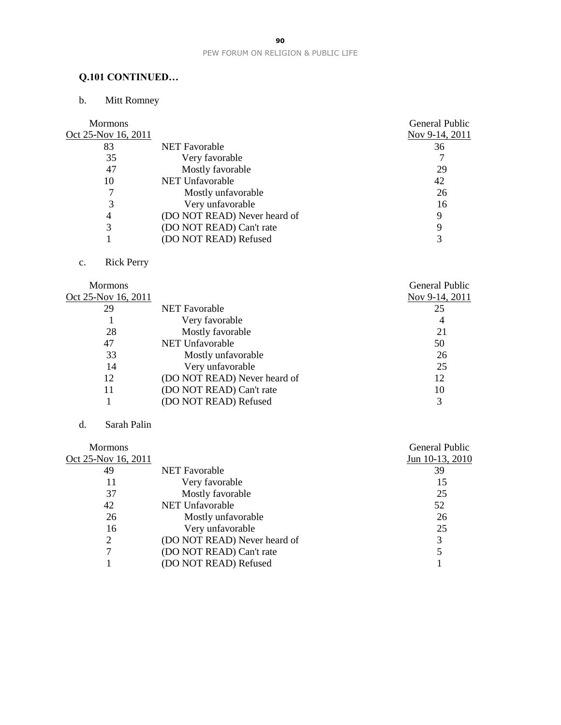# **Q.101 CONTINUED…**

# b. Mitt Romney

| <b>Mormons</b>      |                              | General Public |
|---------------------|------------------------------|----------------|
| Oct 25-Nov 16, 2011 |                              | Nov 9-14, 2011 |
| 83                  | <b>NET</b> Favorable         | 36             |
| 35                  | Very favorable               |                |
| 47                  | Mostly favorable             | 29             |
| 10                  | <b>NET Unfavorable</b>       | 42             |
|                     | Mostly unfavorable           | 26             |
| 3                   | Very unfavorable             | 16             |
| 4                   | (DO NOT READ) Never heard of | 9              |
|                     | (DO NOT READ) Can't rate     | Q              |
|                     | (DO NOT READ) Refused        |                |
|                     |                              |                |

# c. Rick Perry

|                              | <b>General Public</b> |
|------------------------------|-----------------------|
|                              | Nov 9-14, 2011        |
| <b>NET</b> Favorable         | 25                    |
| Very favorable               | 4                     |
| Mostly favorable             | 21                    |
| NET Unfavorable              | 50                    |
| Mostly unfavorable           | 26                    |
| Very unfavorable             | 25                    |
| (DO NOT READ) Never heard of | 12                    |
| (DO NOT READ) Can't rate     | 10                    |
| (DO NOT READ) Refused        | 3                     |
|                              |                       |

## d. Sarah Palin

|                              | General Public  |
|------------------------------|-----------------|
|                              | Jun 10-13, 2010 |
| <b>NET Favorable</b>         | 39              |
| Very favorable               | 15              |
| Mostly favorable             | 25              |
| NET Unfavorable              | 52              |
| Mostly unfavorable           | 26              |
| Very unfavorable             | 25              |
| (DO NOT READ) Never heard of | 3               |
| (DO NOT READ) Can't rate     |                 |
| (DO NOT READ) Refused        |                 |
|                              |                 |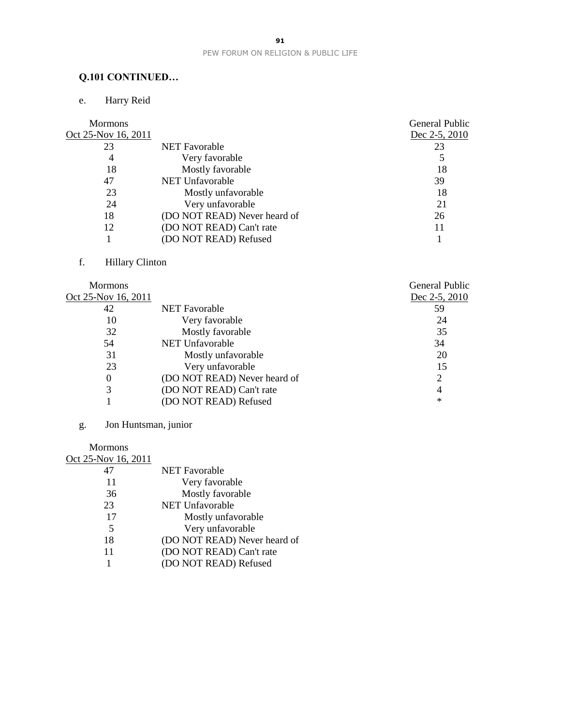# **Q.101 CONTINUED…**

# e. Harry Reid

| <b>Mormons</b>      |                              | <b>General Public</b> |
|---------------------|------------------------------|-----------------------|
| Oct 25-Nov 16, 2011 |                              | Dec 2-5, 2010         |
| 23                  | <b>NET</b> Favorable         | 23                    |
| 4                   | Very favorable               |                       |
| 18                  | Mostly favorable             | 18                    |
| 47                  | <b>NET Unfavorable</b>       | 39                    |
| 23                  | Mostly unfavorable           | 18                    |
| 24                  | Very unfavorable             | 21                    |
| 18                  | (DO NOT READ) Never heard of | 26                    |
| 12                  | (DO NOT READ) Can't rate     |                       |
|                     | (DO NOT READ) Refused        |                       |
|                     |                              |                       |

# f. Hillary Clinton

| <b>Mormons</b>      |                              | General Public |
|---------------------|------------------------------|----------------|
| Oct 25-Nov 16, 2011 |                              | Dec 2-5, 2010  |
| 42                  | <b>NET</b> Favorable         | 59             |
| 10                  | Very favorable               | 24             |
| 32                  | Mostly favorable             | 35             |
| 54                  | NET Unfavorable              | 34             |
| 31                  | Mostly unfavorable           | 20             |
| 23                  | Very unfavorable             | 15             |
| $\theta$            | (DO NOT READ) Never heard of |                |
| 3                   | (DO NOT READ) Can't rate     | 4              |
|                     | (DO NOT READ) Refused        | $\ast$         |

# g. Jon Huntsman, junior

#### Mormons

| Oct 25-Nov 16, 2011 |                              |
|---------------------|------------------------------|
| 47                  | <b>NET Favorable</b>         |
| 11                  | Very favorable               |
| 36                  | Mostly favorable             |
| 23                  | <b>NET Unfavorable</b>       |
| 17                  | Mostly unfavorable           |
| 5                   | Very unfavorable             |
| 18                  | (DO NOT READ) Never heard of |
| 11                  | (DO NOT READ) Can't rate     |
|                     | (DO NOT READ) Refused        |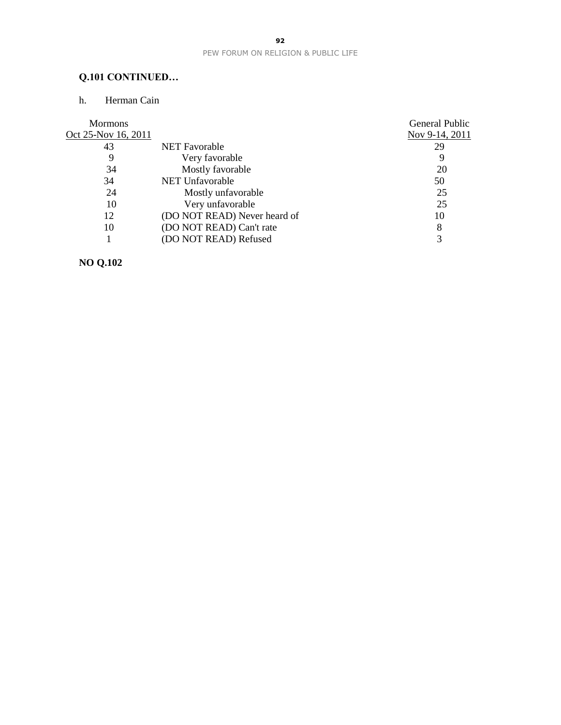# **Q.101 CONTINUED…**

## h. Herman Cain

| <b>Mormons</b>      |                              | General Public |
|---------------------|------------------------------|----------------|
| Oct 25-Nov 16, 2011 |                              | Nov 9-14, 2011 |
| 43                  | <b>NET</b> Favorable         | 29             |
| 9                   | Very favorable               | 9              |
| 34                  | Mostly favorable             | 20             |
| 34                  | <b>NET Unfavorable</b>       | 50             |
| 24                  | Mostly unfavorable           | 25             |
| 10                  | Very unfavorable             | 25             |
| 12                  | (DO NOT READ) Never heard of | 10             |
| 10                  | (DO NOT READ) Can't rate     | 8              |
|                     | (DO NOT READ) Refused        |                |
|                     |                              |                |

**NO Q.102**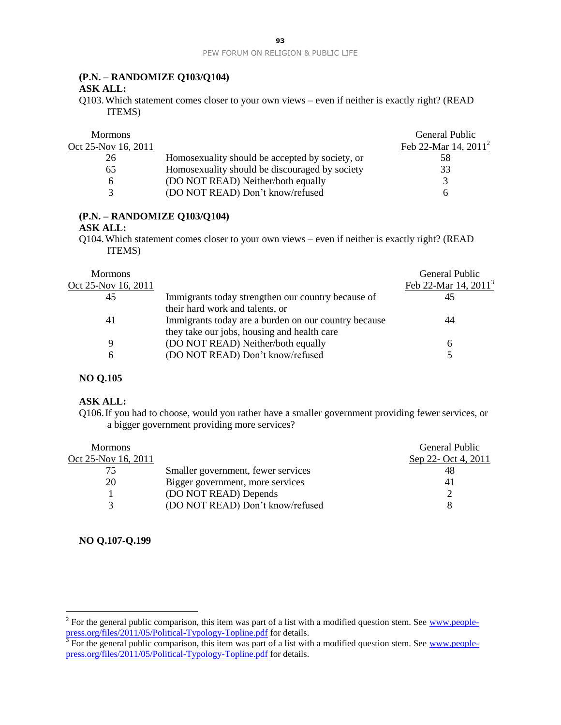## **(P.N. – RANDOMIZE Q103/Q104)**

#### **ASK ALL:**

Q103.Which statement comes closer to your own views – even if neither is exactly right? (READ ITEMS)

| <b>Mormons</b>      |                                                 | General Public          |
|---------------------|-------------------------------------------------|-------------------------|
| Oct 25-Nov 16, 2011 |                                                 | Feb 22-Mar 14, $2011^2$ |
| 26                  | Homosexuality should be accepted by society, or | 58                      |
| 65                  | Homosexuality should be discouraged by society  | 33                      |
|                     | (DO NOT READ) Neither/both equally              |                         |
|                     | (DO NOT READ) Don't know/refused                |                         |

## **(P.N. – RANDOMIZE Q103/Q104)**

#### **ASK ALL:**

Q104.Which statement comes closer to your own views – even if neither is exactly right? (READ ITEMS)

| <b>Mormons</b>      |                                                      | General Public          |
|---------------------|------------------------------------------------------|-------------------------|
| Oct 25-Nov 16, 2011 |                                                      | Feb 22-Mar 14, $2011^3$ |
| 45                  | Immigrants today strengthen our country because of   | 45                      |
|                     | their hard work and talents, or                      |                         |
| 41                  | Immigrants today are a burden on our country because | 44                      |
|                     | they take our jobs, housing and health care          |                         |
| 9                   | (DO NOT READ) Neither/both equally                   | 6                       |
| 6                   | (DO NOT READ) Don't know/refused                     |                         |
|                     |                                                      |                         |

#### **NO Q.105**

#### **ASK ALL:**

Q106.If you had to choose, would you rather have a smaller government providing fewer services, or a bigger government providing more services?

| <b>Mormons</b>      |                                    | General Public      |
|---------------------|------------------------------------|---------------------|
| Oct 25-Nov 16, 2011 |                                    | Sep 22- Oct 4, 2011 |
| 75                  | Smaller government, fewer services | 48                  |
| 20                  | Bigger government, more services   | 41                  |
|                     | (DO NOT READ) Depends              |                     |
|                     | (DO NOT READ) Don't know/refused   |                     |

#### **NO Q.107-Q.199**

 $\overline{a}$ 

<sup>&</sup>lt;sup>2</sup> For the general public comparison, this item was part of a list with a modified question stem. See  $\frac{www.people}{w}$ [press.org/files/2011/05/Political-Typology-Topline.pdf](http://www.people-press.org/files/2011/05/Political-Typology-Topline.pdf) for details.<br><sup>3</sup> For the general public comparison, this item was part of a list with a modified question stem. See [www.people-](http://www.people-press.org/files/2011/05/Political-Typology-Topline.pdf)

[press.org/files/2011/05/Political-Typology-Topline.pdf](http://www.people-press.org/files/2011/05/Political-Typology-Topline.pdf) for details.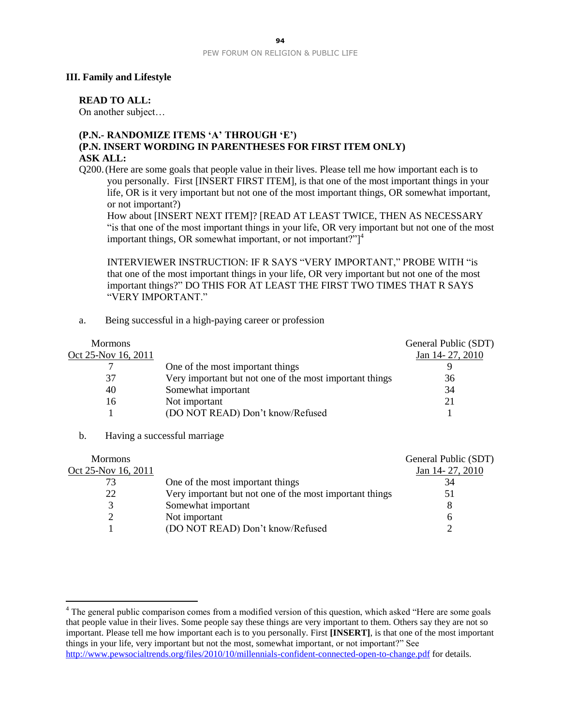#### **III. Family and Lifestyle**

#### **READ TO ALL:**

On another subject…

#### **(P.N.- RANDOMIZE ITEMS 'A' THROUGH 'E') (P.N. INSERT WORDING IN PARENTHESES FOR FIRST ITEM ONLY) ASK ALL:**

Q200.(Here are some goals that people value in their lives. Please tell me how important each is to you personally. First [INSERT FIRST ITEM], is that one of the most important things in your life, OR is it very important but not one of the most important things, OR somewhat important, or not important?)

How about [INSERT NEXT ITEM]? [READ AT LEAST TWICE, THEN AS NECESSARY "is that one of the most important things in your life, OR very important but not one of the most important things, OR somewhat important, or not important?" $]$ <sup>4</sup>

INTERVIEWER INSTRUCTION: IF R SAYS "VERY IMPORTANT," PROBE WITH "is that one of the most important things in your life, OR very important but not one of the most important things?" DO THIS FOR AT LEAST THE FIRST TWO TIMES THAT R SAYS "VERY IMPORTANT."

a. Being successful in a high-paying career or profession

| <b>Mormons</b>      |                                                         | General Public (SDT) |
|---------------------|---------------------------------------------------------|----------------------|
| Oct 25-Nov 16, 2011 |                                                         | Jan 14-27, 2010      |
|                     | One of the most important things                        |                      |
| 37                  | Very important but not one of the most important things | 36                   |
| 40                  | Somewhat important                                      | 34                   |
| 16                  | Not important                                           | 21                   |
|                     | (DO NOT READ) Don't know/Refused                        |                      |
|                     |                                                         |                      |

b. Having a successful marriage

 $\overline{a}$ 

| <b>Mormons</b>      |                                                         | General Public (SDT) |
|---------------------|---------------------------------------------------------|----------------------|
| Oct 25-Nov 16, 2011 |                                                         | Jan 14-27, 2010      |
|                     | One of the most important things                        | 34                   |
| 22                  | Very important but not one of the most important things | 51                   |
|                     | Somewhat important                                      |                      |
|                     | Not important                                           | h                    |
|                     | (DO NOT READ) Don't know/Refused                        |                      |

<sup>&</sup>lt;sup>4</sup> The general public comparison comes from a modified version of this question, which asked "Here are some goals that people value in their lives. Some people say these things are very important to them. Others say they are not so important. Please tell me how important each is to you personally. First **[INSERT]**, is that one of the most important things in your life, very important but not the most, somewhat important, or not important?" See <http://www.pewsocialtrends.org/files/2010/10/millennials-confident-connected-open-to-change.pdf> for details.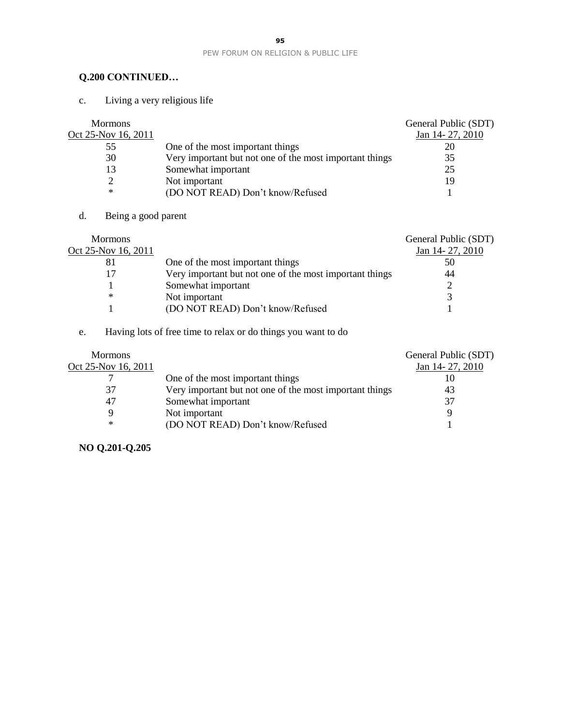# **Q.200 CONTINUED…**

c. Living a very religious life

| <b>Mormons</b>      |                                                         | General Public (SDT) |
|---------------------|---------------------------------------------------------|----------------------|
| Oct 25-Nov 16, 2011 |                                                         | Jan 14-27, 2010      |
| 55                  | One of the most important things                        | 20                   |
| 30                  | Very important but not one of the most important things | 35                   |
| 13                  | Somewhat important                                      | 25                   |
|                     | Not important                                           | 19                   |
| ∗                   | (DO NOT READ) Don't know/Refused                        |                      |

d. Being a good parent

| <b>Mormons</b>      |                                                         | General Public (SDT) |
|---------------------|---------------------------------------------------------|----------------------|
| Oct 25-Nov 16, 2011 |                                                         | Jan 14-27, 2010      |
| 81                  | One of the most important things                        | 50                   |
|                     | Very important but not one of the most important things | 44                   |
|                     | Somewhat important                                      |                      |
| ∗                   | Not important                                           |                      |
|                     | (DO NOT READ) Don't know/Refused                        |                      |

# e. Having lots of free time to relax or do things you want to do

|                                                         | General Public (SDT) |
|---------------------------------------------------------|----------------------|
|                                                         | Jan 14-27, 2010      |
| One of the most important things                        |                      |
| Very important but not one of the most important things | 43                   |
| Somewhat important                                      | 37                   |
| Not important                                           | Q                    |
| (DO NOT READ) Don't know/Refused                        |                      |
|                                                         |                      |

# **NO Q.201-Q.205**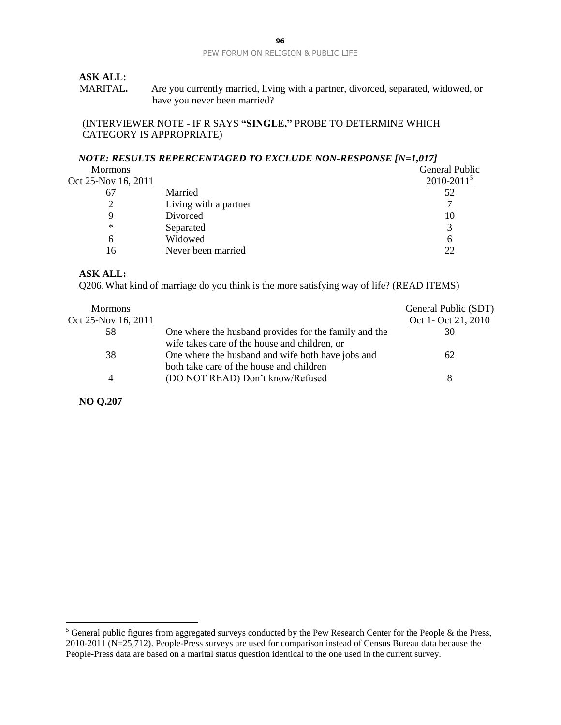## **ASK ALL:**

MARITAL**.** Are you currently married, living with a partner, divorced, separated, widowed, or have you never been married?

#### (INTERVIEWER NOTE - IF R SAYS **"SINGLE,"** PROBE TO DETERMINE WHICH CATEGORY IS APPROPRIATE)

## *NOTE: RESULTS REPERCENTAGED TO EXCLUDE NON-RESPONSE [N=1,017]*

| <b>Mormons</b>      |                       | <b>General Public</b> |
|---------------------|-----------------------|-----------------------|
| Oct 25-Nov 16, 2011 |                       | $2010 - 20115$        |
| 67                  | Married               | 52                    |
|                     | Living with a partner |                       |
|                     | Divorced              | 10                    |
| ∗                   | Separated             |                       |
| h                   | Widowed               | h                     |
| 16                  | Never been married    | 22                    |
|                     |                       |                       |

#### **ASK ALL:**

Q206.What kind of marriage do you think is the more satisfying way of life? (READ ITEMS)

| <b>Mormons</b>      |                                                       | General Public (SDT) |
|---------------------|-------------------------------------------------------|----------------------|
| Oct 25-Nov 16, 2011 |                                                       | Oct 1- Oct 21, 2010  |
| 58                  | One where the husband provides for the family and the | 30                   |
|                     | wife takes care of the house and children, or         |                      |
| 38                  | One where the husband and wife both have jobs and     | 62                   |
|                     | both take care of the house and children              |                      |
|                     | (DO NOT READ) Don't know/Refused                      | 8                    |
|                     |                                                       |                      |

**NO Q.207**

 $\overline{a}$ 

<sup>&</sup>lt;sup>5</sup> General public figures from aggregated surveys conducted by the Pew Research Center for the People & the Press, 2010-2011 (N=25,712). People-Press surveys are used for comparison instead of Census Bureau data because the People-Press data are based on a marital status question identical to the one used in the current survey.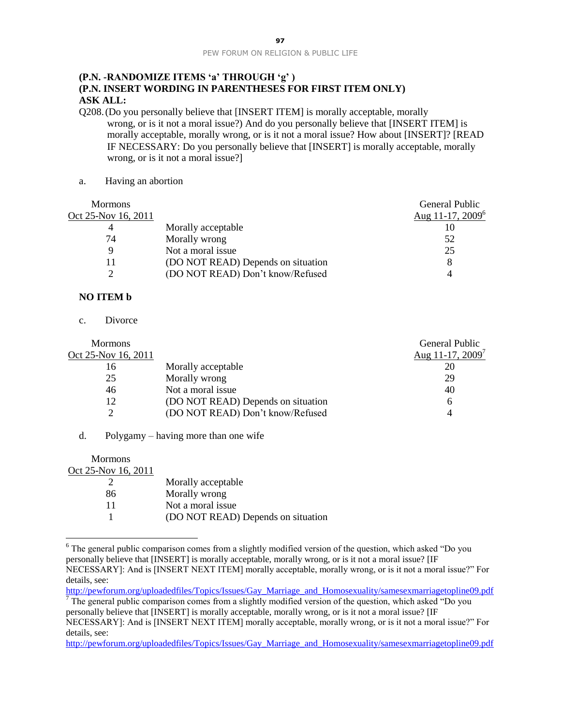## **(P.N. -RANDOMIZE ITEMS 'a' THROUGH 'g' ) (P.N. INSERT WORDING IN PARENTHESES FOR FIRST ITEM ONLY) ASK ALL:**

- Q208.(Do you personally believe that [INSERT ITEM] is morally acceptable, morally wrong, or is it not a moral issue?) And do you personally believe that [INSERT ITEM] is morally acceptable, morally wrong, or is it not a moral issue? How about [INSERT]? [READ IF NECESSARY: Do you personally believe that [INSERT] is morally acceptable, morally wrong, or is it not a moral issue?]
- a. Having an abortion

| <b>Mormons</b>      |                                    | General Public      |
|---------------------|------------------------------------|---------------------|
| Oct 25-Nov 16, 2011 |                                    | Aug 11-17, $2009^6$ |
| 4                   | Morally acceptable                 | 10                  |
| 74                  | Morally wrong                      | 52                  |
| Q                   | Not a moral issue                  | 25                  |
| 11                  | (DO NOT READ) Depends on situation | 8                   |
|                     | (DO NOT READ) Don't know/Refused   |                     |
|                     |                                    |                     |

## **NO ITEM b**

c. Divorce

 $\overline{a}$ 

| <b>Mormons</b>      |                                    | General Public               |
|---------------------|------------------------------------|------------------------------|
| Oct 25-Nov 16, 2011 |                                    | Aug 11-17, 2009 <sup>7</sup> |
| 16                  | Morally acceptable                 | 20                           |
| 25                  | Morally wrong                      | 29                           |
| 46                  | Not a moral issue                  | 40                           |
| 12                  | (DO NOT READ) Depends on situation | 6                            |
|                     | (DO NOT READ) Don't know/Refused   |                              |

d. Polygamy – having more than one wife

| <b>Mormons</b>      |                                    |
|---------------------|------------------------------------|
| Oct 25-Nov 16, 2011 |                                    |
|                     | Morally acceptable                 |
| 86                  | Morally wrong                      |
| 11                  | Not a moral issue                  |
|                     | (DO NOT READ) Depends on situation |

 $6$  The general public comparison comes from a slightly modified version of the question, which asked "Do you" personally believe that [INSERT] is morally acceptable, morally wrong, or is it not a moral issue? [IF NECESSARY]: And is [INSERT NEXT ITEM] morally acceptable, morally wrong, or is it not a moral issue?" For details, see:

[http://pewforum.org/uploadedfiles/Topics/Issues/Gay\\_Marriage\\_and\\_Homosexuality/samesexmarriagetopline09.pdf](http://pewforum.org/uploadedfiles/Topics/Issues/Gay_Marriage_and_Homosexuality/samesexmarriagetopline09.pdf) The general public comparison comes from a slightly modified version of the question, which asked "Do you" personally believe that [INSERT] is morally acceptable, morally wrong, or is it not a moral issue? [IF NECESSARY]: And is [INSERT NEXT ITEM] morally acceptable, morally wrong, or is it not a moral issue?" For details, see:

[http://pewforum.org/uploadedfiles/Topics/Issues/Gay\\_Marriage\\_and\\_Homosexuality/samesexmarriagetopline09.pdf](http://pewforum.org/uploadedfiles/Topics/Issues/Gay_Marriage_and_Homosexuality/samesexmarriagetopline09.pdf)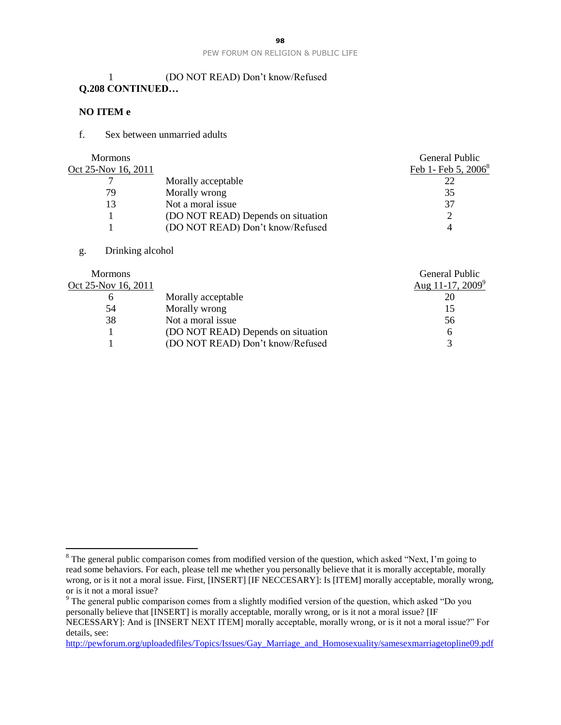## 1 (DO NOT READ) Don't know/Refused **Q.208 CONTINUED…**

#### **NO ITEM e**

#### f. Sex between unmarried adults

| <b>Mormons</b>      |                                    | General Public                  |
|---------------------|------------------------------------|---------------------------------|
| Oct 25-Nov 16, 2011 |                                    | Feb 1- Feb 5, 2006 <sup>8</sup> |
|                     | Morally acceptable                 |                                 |
| 79                  | Morally wrong                      | 35                              |
| 13                  | Not a moral issue                  | 37                              |
|                     | (DO NOT READ) Depends on situation |                                 |
|                     | (DO NOT READ) Don't know/Refused   |                                 |
|                     |                                    |                                 |

#### g. Drinking alcohol

 $\overline{a}$ 

|                                    | General Public               |
|------------------------------------|------------------------------|
|                                    | Aug 11-17, 2009 <sup>9</sup> |
| Morally acceptable                 |                              |
| Morally wrong                      | 15                           |
| Not a moral issue                  | 56                           |
| (DO NOT READ) Depends on situation | 6                            |
| (DO NOT READ) Don't know/Refused   | $\mathbf{\Omega}$            |
|                                    |                              |

[http://pewforum.org/uploadedfiles/Topics/Issues/Gay\\_Marriage\\_and\\_Homosexuality/samesexmarriagetopline09.pdf](http://pewforum.org/uploadedfiles/Topics/Issues/Gay_Marriage_and_Homosexuality/samesexmarriagetopline09.pdf)

<sup>&</sup>lt;sup>8</sup> The general public comparison comes from modified version of the question, which asked "Next, I'm going to read some behaviors. For each, please tell me whether you personally believe that it is morally acceptable, morally wrong, or is it not a moral issue. First, [INSERT] [IF NECCESARY]: Is [ITEM] morally acceptable, morally wrong, or is it not a moral issue?

<sup>9</sup> The general public comparison comes from a slightly modified version of the question, which asked "Do you personally believe that [INSERT] is morally acceptable, morally wrong, or is it not a moral issue? [IF NECESSARY]: And is [INSERT NEXT ITEM] morally acceptable, morally wrong, or is it not a moral issue?" For details, see: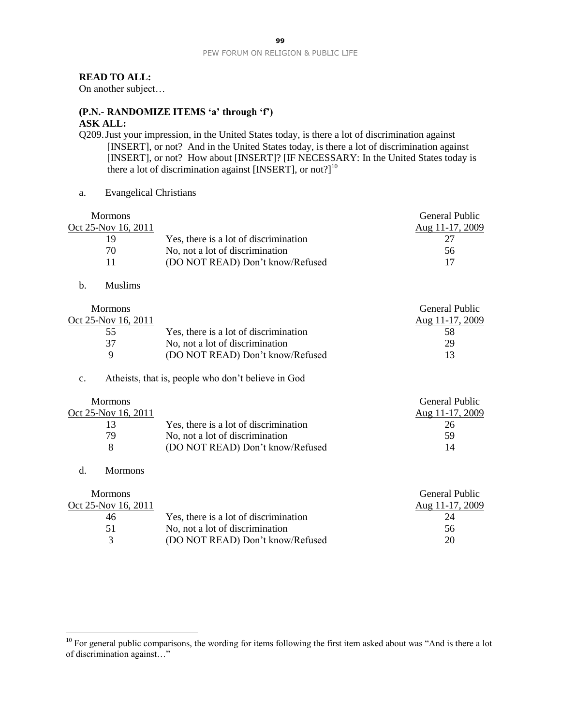#### **READ TO ALL:**

On another subject…

# **(P.N.- RANDOMIZE ITEMS 'a' through 'f')**

- **ASK ALL:**
- Q209.Just your impression, in the United States today, is there a lot of discrimination against [INSERT], or not? And in the United States today, is there a lot of discrimination against [INSERT], or not? How about [INSERT]? [IF NECESSARY: In the United States today is there a lot of discrimination against [INSERT], or not?]<sup>10</sup>
- a. Evangelical Christians

Mormons

| Oct 25-Nov 16, 2011 |                                       | Aug 11-17, 2009 |
|---------------------|---------------------------------------|-----------------|
| 10,                 | Yes, there is a lot of discrimination |                 |
| 70                  | No, not a lot of discrimination       | 56              |
|                     | (DO NOT READ) Don't know/Refused      |                 |

General Public

b. Muslims

| <b>Mormons</b>      |                                       | General Public  |
|---------------------|---------------------------------------|-----------------|
| Oct 25-Nov 16, 2011 |                                       | Aug 11-17, 2009 |
| 55                  | Yes, there is a lot of discrimination | 58              |
| 37                  | No, not a lot of discrimination       | 29              |
| $\Omega$            | (DO NOT READ) Don't know/Refused      | 13              |

#### c. Atheists, that is, people who don't believe in God

| <b>Mormons</b>      |                                       | General Public  |
|---------------------|---------------------------------------|-----------------|
| Oct 25-Nov 16, 2011 |                                       | Aug 11-17, 2009 |
|                     | Yes, there is a lot of discrimination | 26              |
| 79                  | No, not a lot of discrimination       | 59              |
|                     | (DO NOT READ) Don't know/Refused      | 14              |

#### d. Mormons

 $\overline{a}$ 

|                                       | General Public  |
|---------------------------------------|-----------------|
|                                       | Aug 11-17, 2009 |
| Yes, there is a lot of discrimination | 24              |
| No, not a lot of discrimination       | 56              |
| (DO NOT READ) Don't know/Refused      | 20              |
|                                       |                 |

 $10$  For general public comparisons, the wording for items following the first item asked about was "And is there a lot of discrimination against…"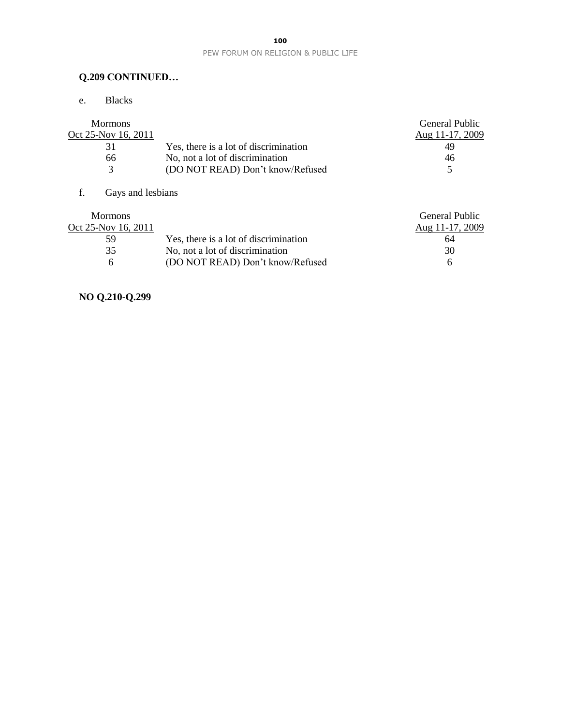# **Q.209 CONTINUED…**

e. Blacks

|                                       | General Public  |
|---------------------------------------|-----------------|
|                                       | Aug 11-17, 2009 |
| Yes, there is a lot of discrimination | 49              |
| No, not a lot of discrimination       | 46              |
| (DO NOT READ) Don't know/Refused      |                 |
|                                       |                 |

# f. Gays and lesbians

| <b>Mormons</b>      |                                       | General Public  |
|---------------------|---------------------------------------|-----------------|
| Oct 25-Nov 16, 2011 |                                       | Aug 11-17, 2009 |
| 59                  | Yes, there is a lot of discrimination | 64              |
| 35                  | No, not a lot of discrimination       | 30              |
| <sub>6</sub>        | (DO NOT READ) Don't know/Refused      | h               |

# **NO Q.210-Q.299**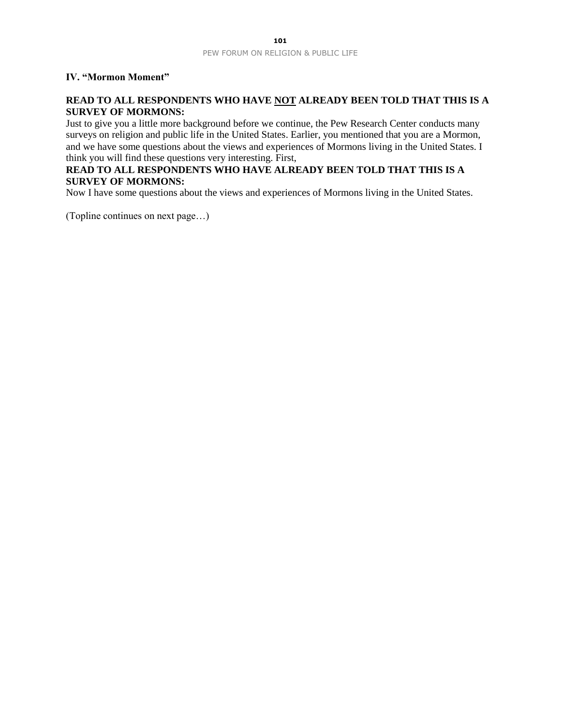## **IV. "Mormon Moment"**

## **READ TO ALL RESPONDENTS WHO HAVE NOT ALREADY BEEN TOLD THAT THIS IS A SURVEY OF MORMONS:**

Just to give you a little more background before we continue, the Pew Research Center conducts many surveys on religion and public life in the United States. Earlier, you mentioned that you are a Mormon, and we have some questions about the views and experiences of Mormons living in the United States. I think you will find these questions very interesting. First,

## **READ TO ALL RESPONDENTS WHO HAVE ALREADY BEEN TOLD THAT THIS IS A SURVEY OF MORMONS:**

Now I have some questions about the views and experiences of Mormons living in the United States.

(Topline continues on next page…)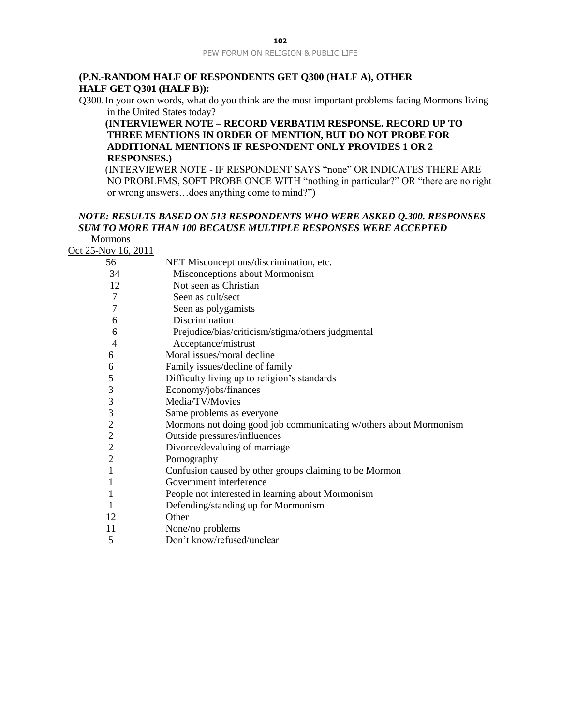#### **(P.N.-RANDOM HALF OF RESPONDENTS GET Q300 (HALF A), OTHER HALF GET Q301 (HALF B)):**

Q300.In your own words, what do you think are the most important problems facing Mormons living in the United States today?

#### **(INTERVIEWER NOTE – RECORD VERBATIM RESPONSE. RECORD UP TO THREE MENTIONS IN ORDER OF MENTION, BUT DO NOT PROBE FOR ADDITIONAL MENTIONS IF RESPONDENT ONLY PROVIDES 1 OR 2 RESPONSES.)**

(INTERVIEWER NOTE - IF RESPONDENT SAYS "none" OR INDICATES THERE ARE NO PROBLEMS, SOFT PROBE ONCE WITH "nothing in particular?" OR "there are no right or wrong answers…does anything come to mind?")

#### *NOTE: RESULTS BASED ON 513 RESPONDENTS WHO WERE ASKED Q.300. RESPONSES SUM TO MORE THAN 100 BECAUSE MULTIPLE RESPONSES WERE ACCEPTED* Mormons

Oct 25-Nov 16, 2011

| 56             | NET Misconceptions/discrimination, etc.                           |
|----------------|-------------------------------------------------------------------|
| 34             | Misconceptions about Mormonism                                    |
| 12             | Not seen as Christian                                             |
| 7              | Seen as cult/sect                                                 |
| 7              | Seen as polygamists                                               |
| 6              | Discrimination                                                    |
| 6              | Prejudice/bias/criticism/stigma/others judgmental                 |
| $\overline{4}$ | Acceptance/mistrust                                               |
| 6              | Moral issues/moral decline                                        |
| 6              | Family issues/decline of family                                   |
| 5              | Difficulty living up to religion's standards                      |
| 3              | Economy/jobs/finances                                             |
| $\mathfrak{Z}$ | Media/TV/Movies                                                   |
| $\mathfrak{Z}$ | Same problems as everyone                                         |
| $\overline{c}$ | Mormons not doing good job communicating w/others about Mormonism |
| $\frac{2}{2}$  | Outside pressures/influences                                      |
|                | Divorce/devaluing of marriage                                     |
| $\overline{2}$ | Pornography                                                       |
| 1              | Confusion caused by other groups claiming to be Mormon            |
|                | Government interference                                           |
| 1              | People not interested in learning about Mormonism                 |
|                | Defending/standing up for Mormonism                               |
| 12             | Other                                                             |
| 11             | None/no problems                                                  |
| 5              | Don't know/refused/unclear                                        |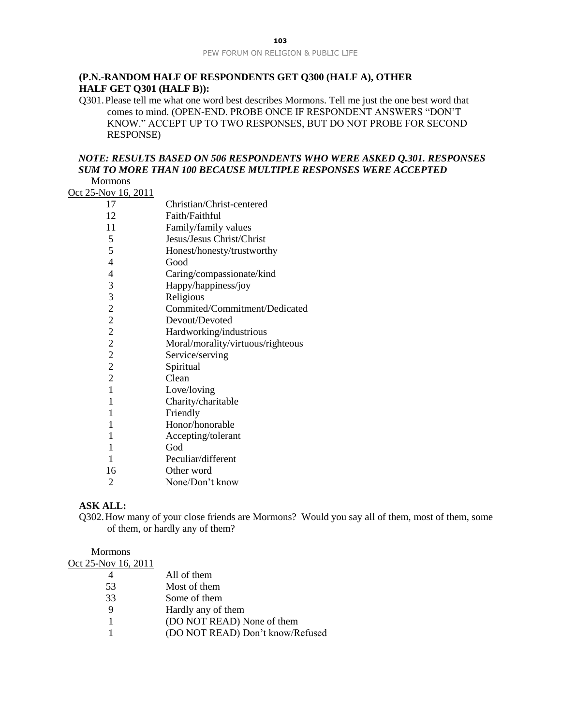## **(P.N.-RANDOM HALF OF RESPONDENTS GET Q300 (HALF A), OTHER HALF GET Q301 (HALF B)):**

Q301.Please tell me what one word best describes Mormons. Tell me just the one best word that comes to mind. (OPEN-END. PROBE ONCE IF RESPONDENT ANSWERS "DON'T KNOW." ACCEPT UP TO TWO RESPONSES, BUT DO NOT PROBE FOR SECOND RESPONSE)

## *NOTE: RESULTS BASED ON 506 RESPONDENTS WHO WERE ASKED Q.301. RESPONSES SUM TO MORE THAN 100 BECAUSE MULTIPLE RESPONSES WERE ACCEPTED*

Mormons

| тионнонз                   |                                   |
|----------------------------|-----------------------------------|
| <u>Oct 25-Nov 16, 2011</u> |                                   |
| 17                         | Christian/Christ-centered         |
| 12                         | Faith/Faithful                    |
| 11                         | Family/family values              |
| 5                          | Jesus/Jesus Christ/Christ         |
| 5                          | Honest/honesty/trustworthy        |
| $\overline{4}$             | Good                              |
| $\overline{4}$             | Caring/compassionate/kind         |
|                            | Happy/happiness/joy               |
| $\frac{3}{3}$              | Religious                         |
| $\frac{2}{2}$              | Commited/Commitment/Dedicated     |
|                            | Devout/Devoted                    |
| $\overline{c}$             | Hardworking/industrious           |
| $\overline{c}$             | Moral/morality/virtuous/righteous |
| $\overline{c}$             | Service/serving                   |
| $\overline{c}$             | Spiritual                         |
| $\overline{2}$             | Clean                             |
| 1                          | Love/loving                       |
| 1                          | Charity/charitable                |
| 1                          | Friendly                          |
| 1                          | Honor/honorable                   |
| 1                          | Accepting/tolerant                |
| 1                          | God                               |
| 1                          | Peculiar/different                |
| 16                         | Other word                        |
| $\overline{2}$             | None/Don't know                   |

#### **ASK ALL:**

Q302.How many of your close friends are Mormons? Would you say all of them, most of them, some of them, or hardly any of them?

Mormons Oct 25-Nov 16, 2011 All of them Most of them Some of them Hardly any of them (DO NOT READ) None of them (DO NOT READ) Don't know/Refused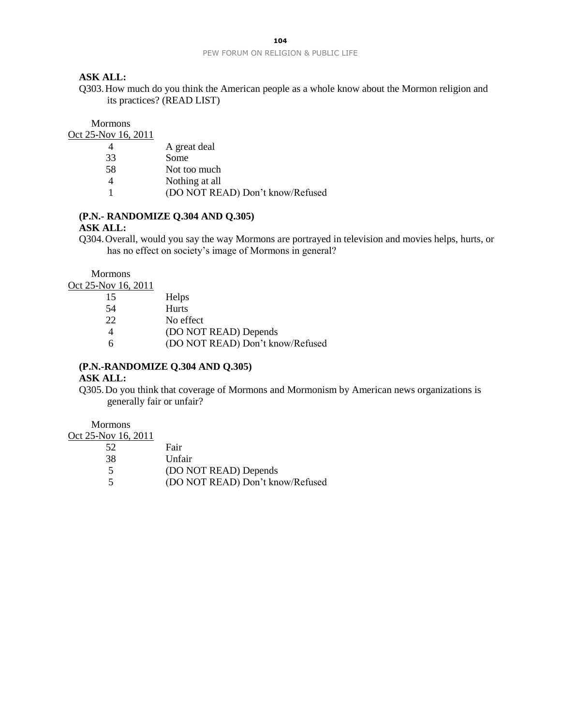#### **ASK ALL:**

Q303.How much do you think the American people as a whole know about the Mormon religion and its practices? (READ LIST)

Mormons

Oct 25-Nov 16, 2011

| $\overline{4}$ | A great deal                     |
|----------------|----------------------------------|
| 33             | Some                             |
| 58             | Not too much                     |
| $\overline{4}$ | Nothing at all                   |
|                | (DO NOT READ) Don't know/Refused |
|                |                                  |

## **(P.N.- RANDOMIZE Q.304 AND Q.305)**

#### **ASK ALL:**

Q304.Overall, would you say the way Mormons are portrayed in television and movies helps, hurts, or has no effect on society's image of Mormons in general?

Mormons

Oct 25-Nov 16, 2011

| 15 | Helps                            |
|----|----------------------------------|
| 54 | Hurts                            |
| 22 | No effect                        |
|    | (DO NOT READ) Depends            |
| -6 | (DO NOT READ) Don't know/Refused |

#### **(P.N.-RANDOMIZE Q.304 AND Q.305)**

#### **ASK ALL:**

Q305.Do you think that coverage of Mormons and Mormonism by American news organizations is generally fair or unfair?

Mormons

Oct 25-Nov 16, 2011

| 52 | Fair                             |
|----|----------------------------------|
| 38 | Unfair                           |
| -5 | (DO NOT READ) Depends            |
| -5 | (DO NOT READ) Don't know/Refused |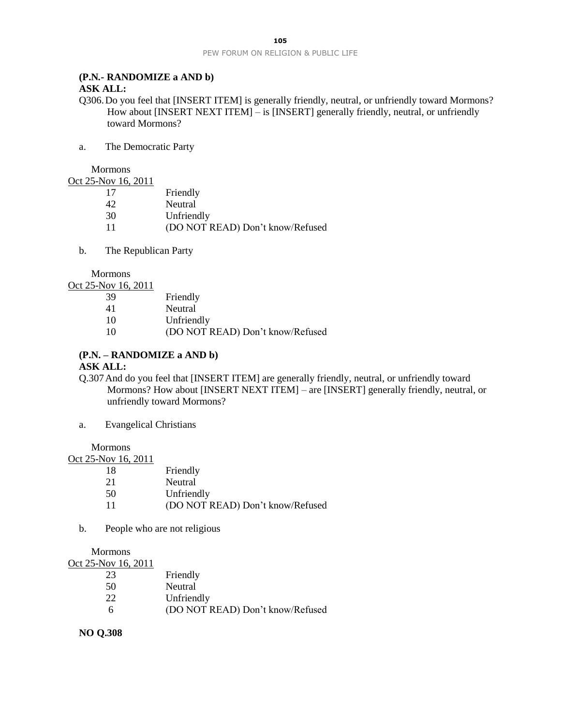#### **(P.N***.-* **RANDOMIZE a AND b)**

## **ASK ALL:**

Q306.Do you feel that [INSERT ITEM] is generally friendly, neutral, or unfriendly toward Mormons? How about [INSERT NEXT ITEM] – is [INSERT] generally friendly, neutral, or unfriendly toward Mormons?

a. The Democratic Party

Mormons

Oct 25-Nov 16, 2011

| 17 | Friendly                         |
|----|----------------------------------|
| 42 | Neutral                          |
| 30 | Unfriendly                       |
| 11 | (DO NOT READ) Don't know/Refused |

b. The Republican Party

Mormons

Oct 25-Nov 16, 2011

| 41<br>Neutral                          |  |
|----------------------------------------|--|
|                                        |  |
| 10<br>Unfriendly                       |  |
| (DO NOT READ) Don't know/Refused<br>10 |  |

#### **(P.N. – RANDOMIZE a AND b) ASK ALL:**

Q.307And do you feel that [INSERT ITEM] are generally friendly, neutral, or unfriendly toward Mormons? How about [INSERT NEXT ITEM] – are [INSERT] generally friendly, neutral, or unfriendly toward Mormons?

a. Evangelical Christians

Mormons

| Oct 25-Nov 16, 2011 |                                  |
|---------------------|----------------------------------|
| 18                  | Friendly                         |
| 21                  | Neutral                          |
| 50                  | Unfriendly                       |
|                     | (DO NOT READ) Don't know/Refused |

b. People who are not religious

Mormons

| Oct 25-Nov 16, 2011 |                                  |
|---------------------|----------------------------------|
| 23                  | Friendly                         |
| 50                  | Neutral                          |
| 22                  | Unfriendly                       |
| h                   | (DO NOT READ) Don't know/Refused |

**NO Q.308**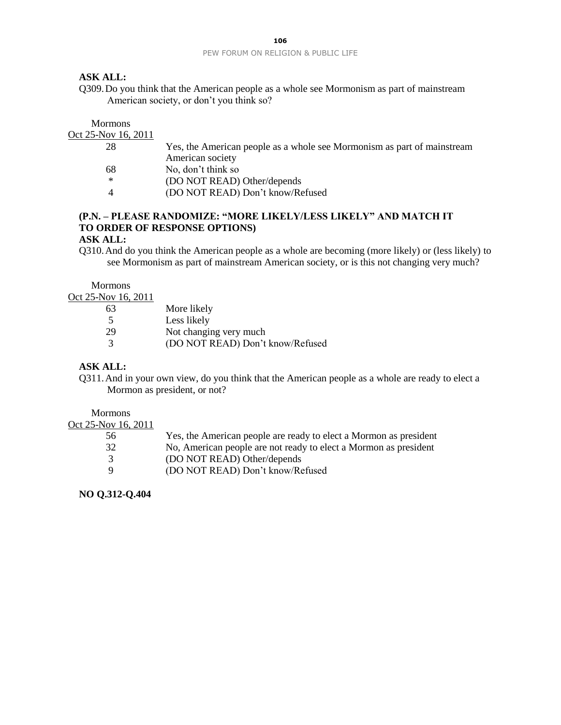## **ASK ALL:**

Q309.Do you think that the American people as a whole see Mormonism as part of mainstream American society, or don't you think so?

#### Mormons Oct 25-Nov 16, 2011

| -1907 10, 2011 |                                                                         |
|----------------|-------------------------------------------------------------------------|
| 28             | Yes, the American people as a whole see Mormonism as part of mainstream |
|                | American society                                                        |
| 68             | No, don't think so                                                      |
| ∗              | (DO NOT READ) Other/depends                                             |
| $\Delta$       | (DO NOT READ) Don't know/Refused                                        |
|                |                                                                         |

## **(P.N. – PLEASE RANDOMIZE: "MORE LIKELY/LESS LIKELY" AND MATCH IT TO ORDER OF RESPONSE OPTIONS)**

#### **ASK ALL:**

Q310.And do you think the American people as a whole are becoming (more likely) or (less likely) to see Mormonism as part of mainstream American society, or is this not changing very much?

Mormons

Oct 25-Nov 16, 2011

| More likely                      |
|----------------------------------|
| Less likely                      |
| Not changing very much           |
| (DO NOT READ) Don't know/Refused |
|                                  |

## **ASK ALL:**

Q311.And in your own view, do you think that the American people as a whole are ready to elect a Mormon as president, or not?

Mormons

#### Oct 25-Nov 16, 2011

- 56 Yes, the American people are ready to elect a Mormon as president 32 No, American people are not ready to elect a Mormon as president 3 (DO NOT READ) Other/depends<br>9 (DO NOT READ) Don't know/Re
	- 9 (DO NOT READ) Don't know/Refused

## **NO Q.312-Q.404**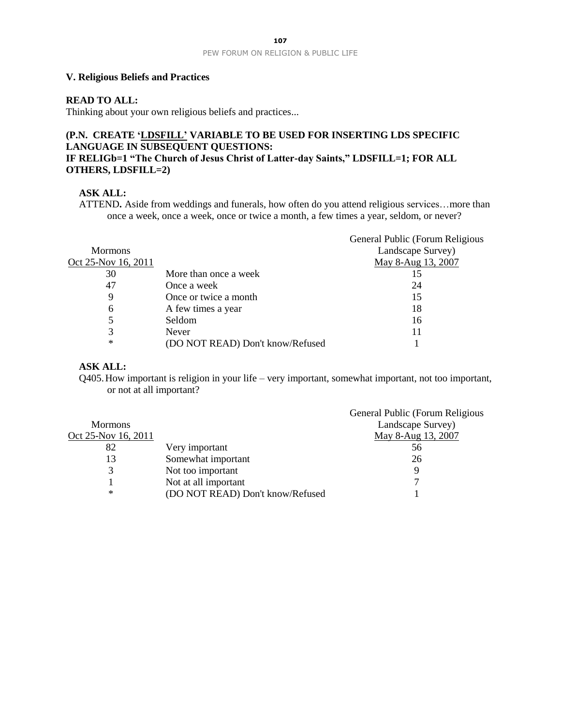#### **V. Religious Beliefs and Practices**

## **READ TO ALL:**

Thinking about your own religious beliefs and practices...

## **(P.N. CREATE 'LDSFILL' VARIABLE TO BE USED FOR INSERTING LDS SPECIFIC LANGUAGE IN SUBSEQUENT QUESTIONS: IF RELIGb=1 "The Church of Jesus Christ of Latter-day Saints," LDSFILL=1; FOR ALL OTHERS, LDSFILL=2)**

#### **ASK ALL:**

ATTEND**.** Aside from weddings and funerals, how often do you attend religious services…more than once a week, once a week, once or twice a month, a few times a year, seldom, or never?

|                     |                                  | General Public (Forum Religious |
|---------------------|----------------------------------|---------------------------------|
| <b>Mormons</b>      |                                  | Landscape Survey)               |
| Oct 25-Nov 16, 2011 |                                  | May 8-Aug 13, 2007              |
| 30                  | More than once a week            | 15                              |
| 47                  | Once a week                      | 24                              |
| 9                   | Once or twice a month            | 15                              |
| 6                   | A few times a year               | 18                              |
|                     | Seldom                           | 16                              |
| 3                   | Never                            | 11                              |
| ∗                   | (DO NOT READ) Don't know/Refused |                                 |

### **ASK ALL:**

Q405.How important is religion in your life – very important, somewhat important, not too important, or not at all important?

|                     |                                  | General Public (Forum Religious |
|---------------------|----------------------------------|---------------------------------|
| <b>Mormons</b>      |                                  | Landscape Survey)               |
| Oct 25-Nov 16, 2011 |                                  | May 8-Aug 13, 2007              |
| 82                  | Very important                   | 56                              |
| 13                  | Somewhat important               | 26                              |
|                     | Not too important                | Q                               |
|                     | Not at all important             |                                 |
| ∗                   | (DO NOT READ) Don't know/Refused |                                 |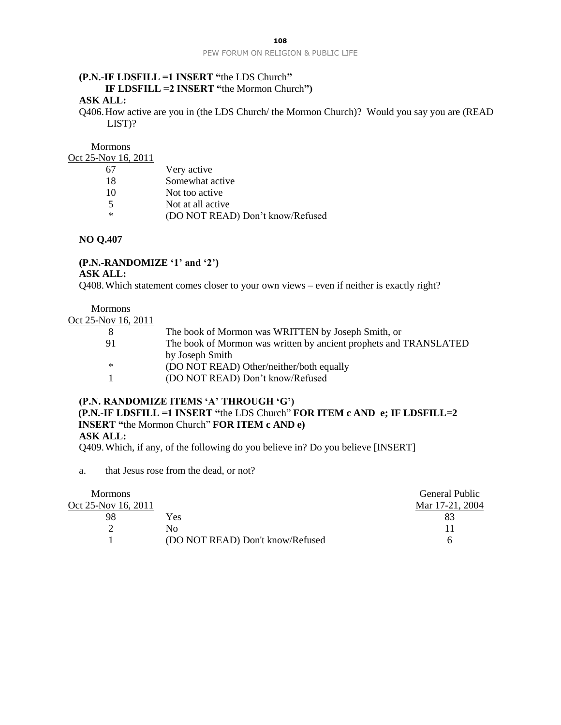## **(P.N.-IF LDSFILL =1 INSERT "**the LDS Church**" IF LDSFILL =2 INSERT "**the Mormon Church**") ASK ALL:**

Q406.How active are you in (the LDS Church/ the Mormon Church)? Would you say you are (READ LIST)?

Mormons Oct 25-Nov 16, 2011

| Very active                      |
|----------------------------------|
| Somewhat active                  |
| Not too active                   |
| Not at all active                |
| (DO NOT READ) Don't know/Refused |
|                                  |

**NO Q.407**

# **(P.N.-RANDOMIZE '1' and '2')**

**ASK ALL:**

Q408.Which statement comes closer to your own views – even if neither is exactly right?

Mormons

| Oct 25-Nov 16, 2011 |  |  |
|---------------------|--|--|
|                     |  |  |

| -8     | The book of Mormon was WRITTEN by Joseph Smith, or                |
|--------|-------------------------------------------------------------------|
| 91     | The book of Mormon was written by ancient prophets and TRANSLATED |
|        | by Joseph Smith                                                   |
| $\ast$ | (DO NOT READ) Other/neither/both equally                          |
| -1     | (DO NOT READ) Don't know/Refused                                  |

#### **(P.N. RANDOMIZE ITEMS 'A' THROUGH 'G')**

## **(P.N.-IF LDSFILL =1 INSERT "**the LDS Church" **FOR ITEM c AND e; IF LDSFILL=2 INSERT "**the Mormon Church" **FOR ITEM c AND e) ASK ALL:**

Q409.Which, if any, of the following do you believe in? Do you believe [INSERT]

a. that Jesus rose from the dead, or not?

| <b>Mormons</b>      |                                  | General Public  |
|---------------------|----------------------------------|-----------------|
| Oct 25-Nov 16, 2011 |                                  | Mar 17-21, 2004 |
| 98                  | Yes                              |                 |
|                     | No                               |                 |
|                     | (DO NOT READ) Don't know/Refused |                 |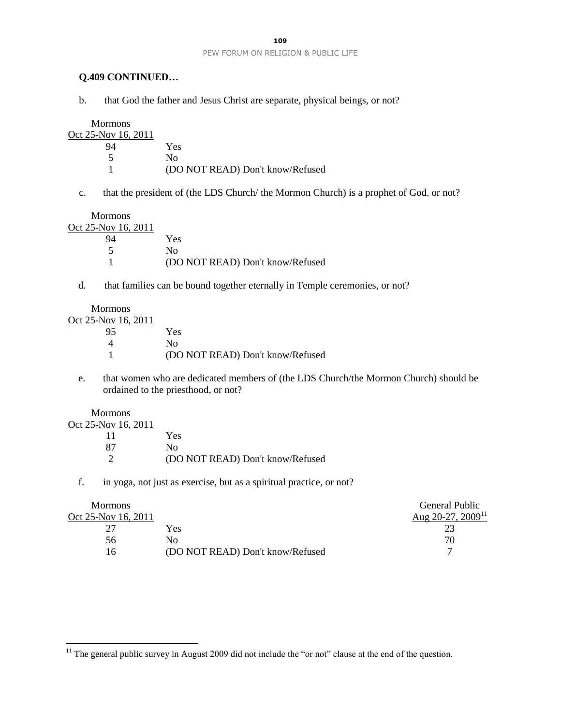#### **Q.409 CONTINUED…**

b. that God the father and Jesus Christ are separate, physical beings, or not?

Mormons Oct 25-Nov 16, 2011 94 Yes 5 No 1 (DO NOT READ) Don't know/Refused

c. that the president of (the LDS Church/ the Mormon Church) is a prophet of God, or not?

Mormons Oct 25

| 25-Nov 16, 2011 |                                  |
|-----------------|----------------------------------|
| 94              | Yes                              |
|                 | Nο                               |
|                 | (DO NOT READ) Don't know/Refused |

d. that families can be bound together eternally in Temple ceremonies, or not?

Mormons Oct 25-Nov 16, 2011

| 5-NOV 10, 2011 |                                  |
|----------------|----------------------------------|
| 95             | Yes                              |
|                | Nο                               |
|                | (DO NOT READ) Don't know/Refused |
|                |                                  |

e. that women who are dedicated members of (the LDS Church/the Mormon Church) should be ordained to the priesthood, or not?

Mormons

 $\overline{a}$ 

| Oct 25-Nov 16, 2011 |                                  |
|---------------------|----------------------------------|
|                     | Yes                              |
| 87                  | Nο                               |
|                     | (DO NOT READ) Don't know/Refused |

f. in yoga, not just as exercise, but as a spiritual practice, or not?

|                                  | General Public                |
|----------------------------------|-------------------------------|
|                                  | Aug 20-27, 2009 <sup>11</sup> |
| Yes                              |                               |
| Nο                               | 70                            |
| (DO NOT READ) Don't know/Refused |                               |
|                                  |                               |

<sup>&</sup>lt;sup>11</sup> The general public survey in August 2009 did not include the "or not" clause at the end of the question.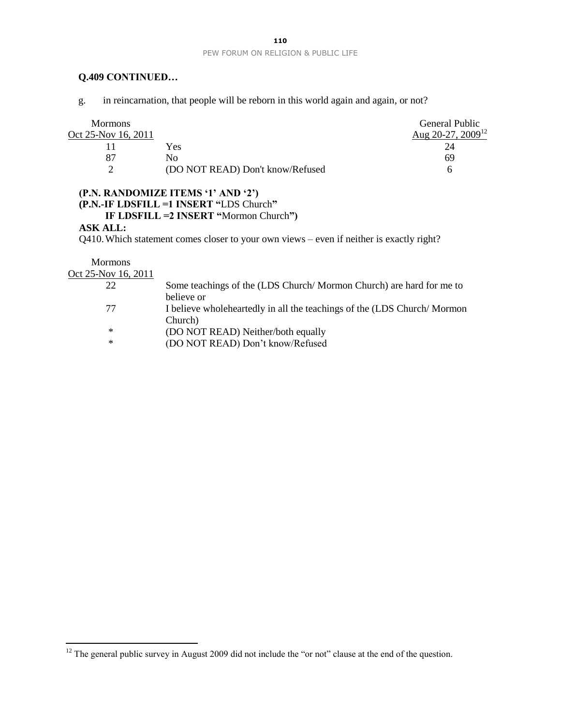## **Q.409 CONTINUED…**

g. in reincarnation, that people will be reborn in this world again and again, or not?

| <b>Mormons</b>      |                                  | General Public                |
|---------------------|----------------------------------|-------------------------------|
| Oct 25-Nov 16, 2011 |                                  | Aug 20-27, 2009 <sup>12</sup> |
|                     | Yes                              |                               |
|                     | N٥                               | 69                            |
|                     | (DO NOT READ) Don't know/Refused | n                             |

## **(P.N. RANDOMIZE ITEMS '1' AND '2') (P.N.-IF LDSFILL =1 INSERT "**LDS Church**" IF LDSFILL =2 INSERT "**Mormon Church**")**

#### **ASK ALL:**

Q410.Which statement comes closer to your own views – even if neither is exactly right?

Mormons

 $\overline{a}$ 

Oct 25-Nov 16, 2011

| 22 | Some teachings of the (LDS Church/Mormon Church) are hard for me to      |
|----|--------------------------------------------------------------------------|
|    | believe or                                                               |
| 77 | I believe wholeheartedly in all the teachings of the (LDS Church/Mormon) |
|    | Church)                                                                  |
| ∗  | (DO NOT READ) Neither/both equally                                       |
| ∗  | (DO NOT READ) Don't know/Refused                                         |

 $12$  The general public survey in August 2009 did not include the "or not" clause at the end of the question.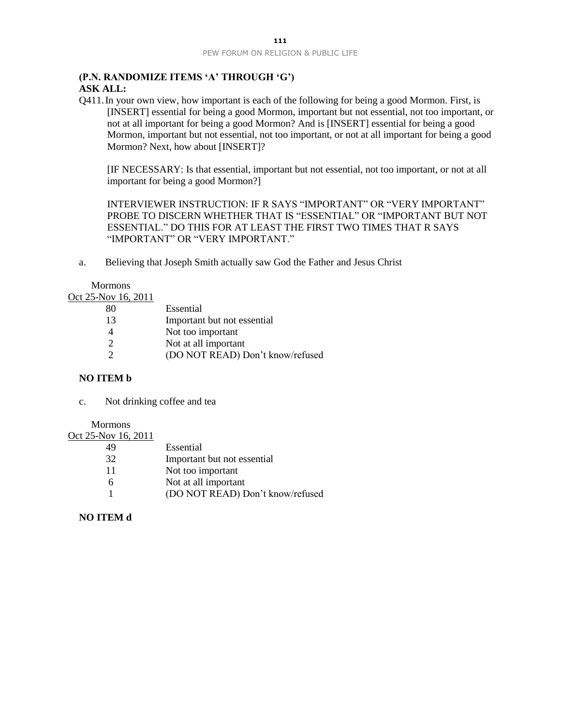# **(P.N. RANDOMIZE ITEMS 'A' THROUGH 'G')**

## **ASK ALL:**

Q411.In your own view, how important is each of the following for being a good Mormon. First, is [INSERT] essential for being a good Mormon, important but not essential, not too important, or not at all important for being a good Mormon? And is [INSERT] essential for being a good Mormon, important but not essential, not too important, or not at all important for being a good Mormon? Next, how about [INSERT]?

[IF NECESSARY: Is that essential, important but not essential, not too important, or not at all important for being a good Mormon?]

INTERVIEWER INSTRUCTION: IF R SAYS "IMPORTANT" OR "VERY IMPORTANT" PROBE TO DISCERN WHETHER THAT IS "ESSENTIAL" OR "IMPORTANT BUT NOT ESSENTIAL." DO THIS FOR AT LEAST THE FIRST TWO TIMES THAT R SAYS "IMPORTANT" OR "VERY IMPORTANT."

a. Believing that Joseph Smith actually saw God the Father and Jesus Christ

Mormons

Oct 25-Nov 16, 2011

| (DO NOT READ) Don't know/refused |
|----------------------------------|
|                                  |

## **NO ITEM b**

c. Not drinking coffee and tea

Mormons

Oct 25-Nov 16, 2011

| 49 | Essential                        |
|----|----------------------------------|
| 32 | Important but not essential      |
| 11 | Not too important                |
| -6 | Not at all important             |
|    | (DO NOT READ) Don't know/refused |

## **NO ITEM d**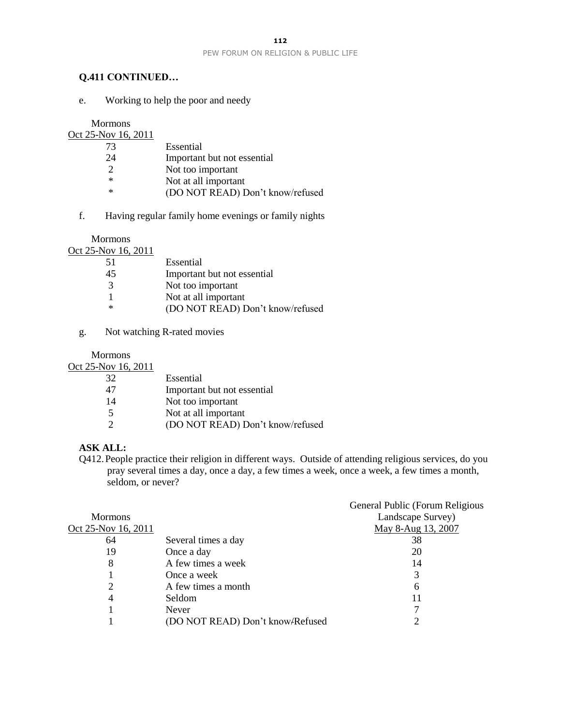# **Q.411 CONTINUED…**

e. Working to help the poor and needy

Mormons

| Oct 25-Nov 16, 2011 |                                  |
|---------------------|----------------------------------|
| 73                  | Essential                        |
| 24                  | Important but not essential      |
| 2                   | Not too important                |
| ∗                   | Not at all important             |
| $\ast$              | (DO NOT READ) Don't know/refused |
|                     |                                  |

f. Having regular family home evenings or family nights

Mormons Oct 25-Nov 16, 2011

| 101 TU, 2011 |                                  |
|--------------|----------------------------------|
| -51          | Essential                        |
| 45           | Important but not essential      |
| 3            | Not too important                |
|              | Not at all important             |
| $\ast$       | (DO NOT READ) Don't know/refused |
|              |                                  |

g. Not watching R-rated movies

Mormons

Oct 25-Nov 16, 2011

| 32 | Essential                        |
|----|----------------------------------|
| 47 | Important but not essential      |
| 14 | Not too important                |
| -5 | Not at all important             |
|    | (DO NOT READ) Don't know/refused |

## **ASK ALL:**

Q412.People practice their religion in different ways. Outside of attending religious services, do you pray several times a day, once a day, a few times a week, once a week, a few times a month, seldom, or never?

|                     |                                  | General Public (Forum Religious |
|---------------------|----------------------------------|---------------------------------|
| <b>Mormons</b>      |                                  | Landscape Survey)               |
| Oct 25-Nov 16, 2011 |                                  | May 8-Aug 13, 2007              |
| 64                  | Several times a day              | 38                              |
| 19                  | Once a day                       | 20                              |
| 8                   | A few times a week               | 14                              |
|                     | Once a week                      | 3                               |
|                     | A few times a month              | 6                               |
| 4                   | Seldom                           |                                 |
|                     | <b>Never</b>                     |                                 |
|                     | (DO NOT READ) Don't know-Refused |                                 |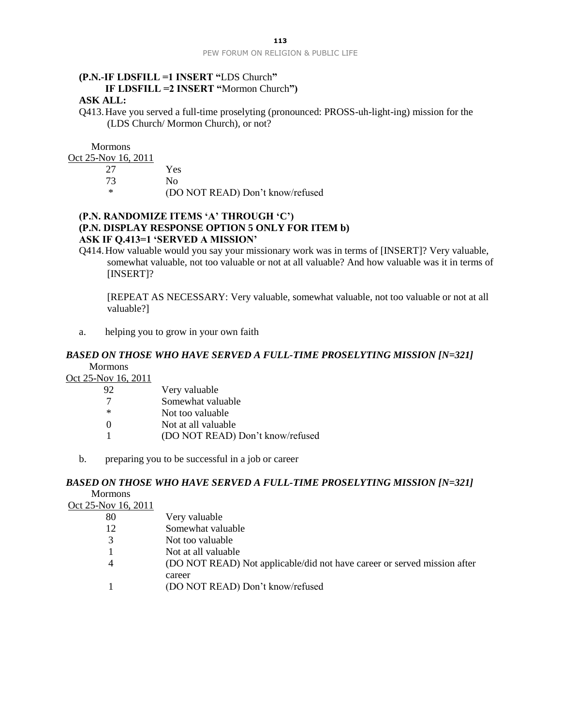# **(P.N.-IF LDSFILL =1 INSERT "**LDS Church**" IF LDSFILL =2 INSERT "**Mormon Church**")**

# **ASK ALL:**

Q413.Have you served a full-time proselyting (pronounced: PROSS-uh-light-ing) mission for the (LDS Church/ Mormon Church), or not?

**Mormons** 

Oct 25-Nov 16, 2011

| 27  | Yes                              |
|-----|----------------------------------|
| 73  | Nο                               |
| - * | (DO NOT READ) Don't know/refused |

## **(P.N. RANDOMIZE ITEMS 'A' THROUGH 'C') (P.N. DISPLAY RESPONSE OPTION 5 ONLY FOR ITEM b) ASK IF Q.413=1 'SERVED A MISSION'**

Q414.How valuable would you say your missionary work was in terms of [INSERT]? Very valuable, somewhat valuable, not too valuable or not at all valuable? And how valuable was it in terms of [INSERT]?

[REPEAT AS NECESSARY: Very valuable, somewhat valuable, not too valuable or not at all valuable?]

a. helping you to grow in your own faith

#### **BASED ON THOSE WHO HAVE SERVED A FULL-TIME PROSELYTING MISSION [N=321]** Mormons

Oct 25-Nov 16, 2011

| 92       | Very valuable                    |
|----------|----------------------------------|
| -7       | Somewhat valuable                |
| $\ast$   | Not too valuable                 |
| $\theta$ | Not at all valuable              |
|          | (DO NOT READ) Don't know/refused |
|          |                                  |

b. preparing you to be successful in a job or career

## *BASED ON THOSE WHO HAVE SERVED A FULL-TIME PROSELYTING MISSION [N=321]* Mormons

Oct 25-Nov 16, 2011

| -80 | Very valuable                                                            |
|-----|--------------------------------------------------------------------------|
| 12  | Somewhat valuable                                                        |
|     | Not too valuable                                                         |
|     | Not at all valuable                                                      |
|     | (DO NOT READ) Not applicable/did not have career or served mission after |
|     | career                                                                   |
|     | (DO NOT READ) Don't know/refused                                         |
|     |                                                                          |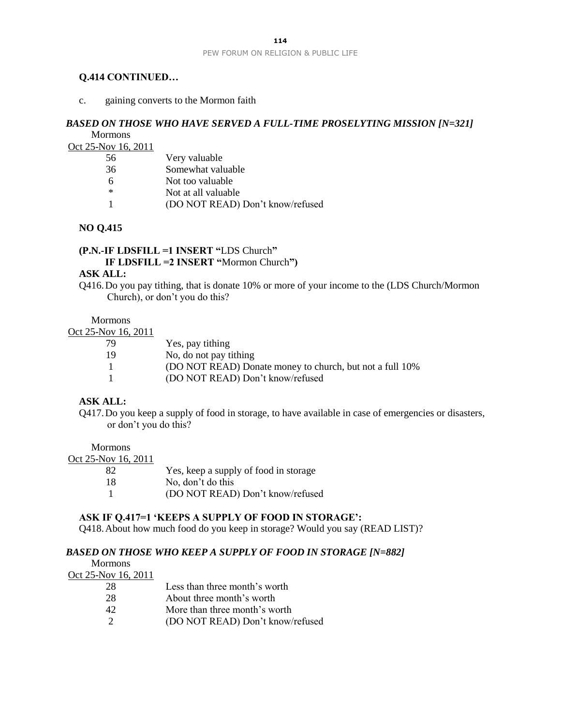#### **Q.414 CONTINUED…**

c. gaining converts to the Mormon faith

#### *BASED ON THOSE WHO HAVE SERVED A FULL-TIME PROSELYTING MISSION [N=321]* **Mormons**

Oct 25-Nov 16, 2011

| 56  | Very valuable                    |
|-----|----------------------------------|
| 36  | Somewhat valuable                |
| 6   | Not too valuable                 |
| $*$ | Not at all valuable              |
|     | (DO NOT READ) Don't know/refused |
|     |                                  |

## **NO Q.415**

**(P.N.-IF LDSFILL =1 INSERT "**LDS Church**" IF LDSFILL =2 INSERT "**Mormon Church**")**

#### **ASK ALL:**

Q416.Do you pay tithing, that is donate 10% or more of your income to the (LDS Church/Mormon Church), or don't you do this?

Mormons

## Oct 25-Nov 16, 2011

| 79           | Yes, pay tithing                                         |
|--------------|----------------------------------------------------------|
| 19           | No, do not pay tithing                                   |
| $\mathbf{1}$ | (DO NOT READ) Donate money to church, but not a full 10% |
| -1           | (DO NOT READ) Don't know/refused                         |

#### **ASK ALL:**

Q417.Do you keep a supply of food in storage, to have available in case of emergencies or disasters, or don't you do this?

Mormons

| Yes, keep a supply of food in storage |
|---------------------------------------|
| No, don't do this                     |
| (DO NOT READ) Don't know/refused      |
|                                       |

## **ASK IF Q.417=1 'KEEPS A SUPPLY OF FOOD IN STORAGE':**

Q418.About how much food do you keep in storage? Would you say (READ LIST)?

month's worth

## *BASED ON THOSE WHO KEEP A SUPPLY OF FOOD IN STORAGE [N=882]*

| <b>Mormons</b>      |                            |
|---------------------|----------------------------|
| Oct 25-Nov 16, 2011 |                            |
| 28                  | Less than three month's wo |
| 28                  | About three month's worth  |
|                     |                            |

- 42 More than three month's worth
- 2 (DO NOT READ) Don't know/refused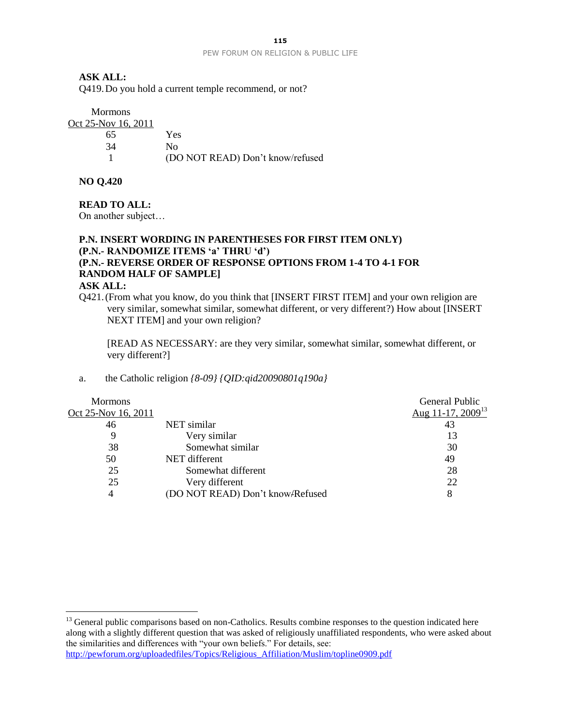## **ASK ALL:**

Q419.Do you hold a current temple recommend, or not?

Mormons Oct 25-Nov 16, 2011

| OV 10, 2011 |                                  |
|-------------|----------------------------------|
| 65          | Yes                              |
| 34          | Nο                               |
|             | (DO NOT READ) Don't know/refused |

**NO Q.420**

#### **READ TO ALL:**

On another subject…

# **P.N. INSERT WORDING IN PARENTHESES FOR FIRST ITEM ONLY) (P.N.- RANDOMIZE ITEMS 'a' THRU 'd') (P.N.- REVERSE ORDER OF RESPONSE OPTIONS FROM 1-4 TO 4-1 FOR RANDOM HALF OF SAMPLE]**

#### **ASK ALL:**

 $\overline{a}$ 

Q421.(From what you know, do you think that [INSERT FIRST ITEM] and your own religion are very similar, somewhat similar, somewhat different, or very different?) How about [INSERT NEXT ITEM] and your own religion?

[READ AS NECESSARY: are they very similar, somewhat similar, somewhat different, or very different?]

## a. the Catholic religion *{8-09} {QID:qid20090801q190a}*

| <b>Mormons</b>      |                                  | General Public                |
|---------------------|----------------------------------|-------------------------------|
| Oct 25-Nov 16, 2011 |                                  | Aug 11-17, 2009 <sup>13</sup> |
| 46                  | NET similar                      | 43                            |
| 9                   | Very similar                     | 13                            |
| 38                  | Somewhat similar                 | 30                            |
| 50                  | NET different                    | 49                            |
| 25                  | Somewhat different               | 28                            |
| 25                  | Very different                   | 22                            |
| 4                   | (DO NOT READ) Don't know-Refused | 8                             |

<sup>&</sup>lt;sup>13</sup> General public comparisons based on non-Catholics. Results combine responses to the question indicated here along with a slightly different question that was asked of religiously unaffiliated respondents, who were asked about the similarities and differences with "your own beliefs." For details, see: [http://pewforum.org/uploadedfiles/Topics/Religious\\_Affiliation/Muslim/topline0909.pdf](http://pewforum.org/uploadedfiles/Topics/Religious_Affiliation/Muslim/topline0909.pdf)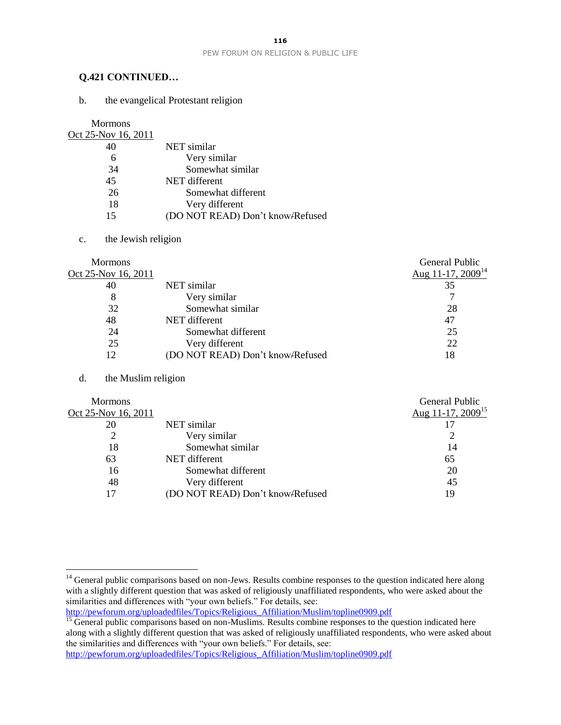#### **Q.421 CONTINUED…**

b. the evangelical Protestant religion

Mormons

| <u>Oct 25-Nov 16, 2011</u> |                                  |
|----------------------------|----------------------------------|
| 40                         | NET similar                      |
| 6                          | Very similar                     |
| 34                         | Somewhat similar                 |
| 45                         | NET different                    |
| 26                         | Somewhat different               |
| 18                         | Very different                   |
| 15                         | (DO NOT READ) Don't know-Refused |

#### c. the Jewish religion

| <b>Mormons</b>      |                                  | General Public         |
|---------------------|----------------------------------|------------------------|
| Oct 25-Nov 16, 2011 |                                  | Aug 11-17, $2009^{14}$ |
| 40                  | NET similar                      | 35                     |
| 8                   | Very similar                     |                        |
| 32                  | Somewhat similar                 | 28                     |
| 48                  | NET different                    | 47                     |
| 24                  | Somewhat different               | 25                     |
| 25                  | Very different                   | 22                     |
| 12                  | (DO NOT READ) Don't know-Refused | 18                     |
|                     |                                  |                        |

#### d. the Muslim religion

 $\overline{a}$ 

| <b>Mormons</b>      |                                  | General Public                |
|---------------------|----------------------------------|-------------------------------|
| Oct 25-Nov 16, 2011 |                                  | Aug 11-17, 2009 <sup>15</sup> |
| 20                  | NET similar                      |                               |
|                     | Very similar                     |                               |
| 18                  | Somewhat similar                 | 14                            |
| 63                  | NET different                    | 65                            |
| 16                  | Somewhat different               | 20                            |
| 48                  | Very different                   | 45                            |
| 17                  | (DO NOT READ) Don't know-Refused | 19                            |
|                     |                                  |                               |

<sup>&</sup>lt;sup>14</sup> General public comparisons based on non-Jews. Results combine responses to the question indicated here along with a slightly different question that was asked of religiously unaffiliated respondents, who were asked about the similarities and differences with "your own beliefs." For details, see:

[http://pewforum.org/uploadedfiles/Topics/Religious\\_Affiliation/Muslim/topline0909.pdf](http://pewforum.org/uploadedfiles/Topics/Religious_Affiliation/Muslim/topline0909.pdf)

<sup>&</sup>lt;sup>15</sup> General public comparisons based on non-Muslims. Results combine responses to the question indicated here along with a slightly different question that was asked of religiously unaffiliated respondents, who were asked about the similarities and differences with "your own beliefs." For details, see: [http://pewforum.org/uploadedfiles/Topics/Religious\\_Affiliation/Muslim/topline0909.pdf](http://pewforum.org/uploadedfiles/Topics/Religious_Affiliation/Muslim/topline0909.pdf)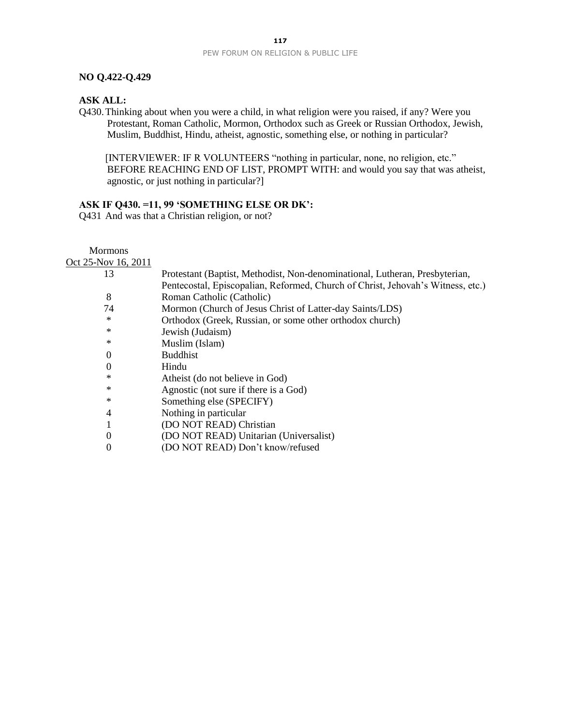#### **NO Q.422-Q.429**

#### **ASK ALL:**

Q430.Thinking about when you were a child, in what religion were you raised, if any? Were you Protestant, Roman Catholic, Mormon, Orthodox such as Greek or Russian Orthodox, Jewish, Muslim, Buddhist, Hindu, atheist, agnostic, something else, or nothing in particular?

[INTERVIEWER: IF R VOLUNTEERS "nothing in particular, none, no religion, etc." BEFORE REACHING END OF LIST, PROMPT WITH: and would you say that was atheist, agnostic, or just nothing in particular?]

#### **ASK IF Q430. =11, 99 'SOMETHING ELSE OR DK':**

Q431 And was that a Christian religion, or not?

Mormons Oct 25-Nov 16, 2011

| <b><i>LJ</i>-INOV 10, <i>L</i>UIT</b> |                                                                                 |
|---------------------------------------|---------------------------------------------------------------------------------|
| 13                                    | Protestant (Baptist, Methodist, Non-denominational, Lutheran, Presbyterian,     |
|                                       | Pentecostal, Episcopalian, Reformed, Church of Christ, Jehovah's Witness, etc.) |
| 8                                     | Roman Catholic (Catholic)                                                       |
| 74                                    | Mormon (Church of Jesus Christ of Latter-day Saints/LDS)                        |
| $\ast$                                | Orthodox (Greek, Russian, or some other orthodox church)                        |
| ∗                                     | Jewish (Judaism)                                                                |
| ∗                                     | Muslim (Islam)                                                                  |
| $\overline{0}$                        | <b>Buddhist</b>                                                                 |
| $\Omega$                              | Hindu                                                                           |
| ∗                                     | Atheist (do not believe in God)                                                 |
| ∗                                     | Agnostic (not sure if there is a God)                                           |
| $\ast$                                | Something else (SPECIFY)                                                        |
| $\overline{4}$                        | Nothing in particular                                                           |
|                                       | (DO NOT READ) Christian                                                         |
| $\theta$                              | (DO NOT READ) Unitarian (Universalist)                                          |
| $\theta$                              | (DO NOT READ) Don't know/refused                                                |
|                                       |                                                                                 |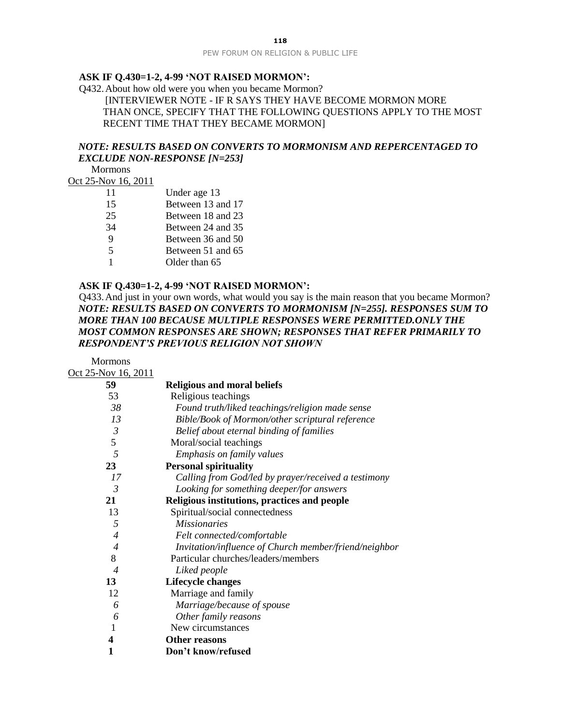#### **ASK IF Q.430=1-2, 4-99 'NOT RAISED MORMON':**

Q432.About how old were you when you became Mormon? [INTERVIEWER NOTE - IF R SAYS THEY HAVE BECOME MORMON MORE THAN ONCE, SPECIFY THAT THE FOLLOWING QUESTIONS APPLY TO THE MOST RECENT TIME THAT THEY BECAME MORMON]

#### *NOTE: RESULTS BASED ON CONVERTS TO MORMONISM AND REPERCENTAGED TO EXCLUDE NON-RESPONSE [N=253]*

Mormons

Oct 25-Nov 16, 2011

Mormons

| 11 | Under age 13      |
|----|-------------------|
| 15 | Between 13 and 17 |
| 25 | Between 18 and 23 |
| 34 | Between 24 and 35 |
| 9  | Between 36 and 50 |
| 5  | Between 51 and 65 |
|    | Older than 65     |
|    |                   |

#### **ASK IF Q.430=1-2, 4-99 'NOT RAISED MORMON':**

Q433.And just in your own words, what would you say is the main reason that you became Mormon? *NOTE: RESULTS BASED ON CONVERTS TO MORMONISM [N=255]. RESPONSES SUM TO MORE THAN 100 BECAUSE MULTIPLE RESPONSES WERE PERMITTED.ONLY THE MOST COMMON RESPONSES ARE SHOWN; RESPONSES THAT REFER PRIMARILY TO RESPONDENT'S PREVIOUS RELIGION NOT SHOWN*

Oct 25-Nov 16, 2011 **59 Religious and moral beliefs** 53 Religious teachings  *38 Found truth/liked teachings/religion made sense 13 Bible/Book of Mormon/other scriptural reference 3 Belief about eternal binding of families* 5 Moral/social teachings  *5 Emphasis on family values* **23 Personal spirituality**  *17 Calling from God/led by prayer/received a testimony 3 Looking for something deeper/for answers* **21 Religious institutions, practices and people** 13 Spiritual/social connectedness  *5 Missionaries 4 Felt connected/comfortable 4 Invitation/influence of Church member/friend/neighbor* 8 Particular churches/leaders/members  *4 Liked people* **13 Lifecycle changes** 12 Marriage and family  *6 Marriage/because of spouse 6 Other family reasons* 1 New circumstances **4 Other reasons 1 Don't know/refused**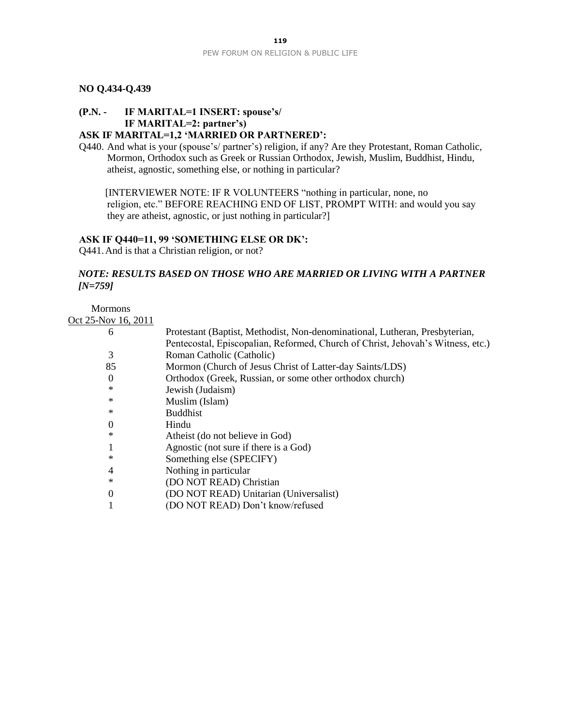## **NO Q.434-Q.439**

# **(P.N. - IF MARITAL=1 INSERT: spouse's/ IF MARITAL=2: partner's)**

# **ASK IF MARITAL=1,2 'MARRIED OR PARTNERED':**

Q440. And what is your (spouse's/ partner's) religion, if any? Are they Protestant, Roman Catholic, Mormon, Orthodox such as Greek or Russian Orthodox, Jewish, Muslim, Buddhist, Hindu, atheist, agnostic, something else, or nothing in particular?

[INTERVIEWER NOTE: IF R VOLUNTEERS "nothing in particular, none, no religion, etc." BEFORE REACHING END OF LIST, PROMPT WITH: and would you say they are atheist, agnostic, or just nothing in particular?]

#### **ASK IF Q440=11, 99 'SOMETHING ELSE OR DK':**

Q441.And is that a Christian religion, or not?

## *NOTE: RESULTS BASED ON THOSE WHO ARE MARRIED OR LIVING WITH A PARTNER [N=759]*

# Mormons

Oct 25-Nov 16, 2011

| 6        | Protestant (Baptist, Methodist, Non-denominational, Lutheran, Presbyterian,     |
|----------|---------------------------------------------------------------------------------|
|          | Pentecostal, Episcopalian, Reformed, Church of Christ, Jehovah's Witness, etc.) |
| 3        | Roman Catholic (Catholic)                                                       |
| 85       | Mormon (Church of Jesus Christ of Latter-day Saints/LDS)                        |
| $\theta$ | Orthodox (Greek, Russian, or some other orthodox church)                        |
| ∗        | Jewish (Judaism)                                                                |
| ∗        | Muslim (Islam)                                                                  |
| *        | <b>Buddhist</b>                                                                 |
| $\Omega$ | Hindu                                                                           |
| *        | Atheist (do not believe in God)                                                 |
|          | Agnostic (not sure if there is a God)                                           |
| *        | Something else (SPECIFY)                                                        |
| 4        | Nothing in particular                                                           |
| ∗        | (DO NOT READ) Christian                                                         |
| $\Omega$ | (DO NOT READ) Unitarian (Universalist)                                          |
|          | (DO NOT READ) Don't know/refused                                                |
|          |                                                                                 |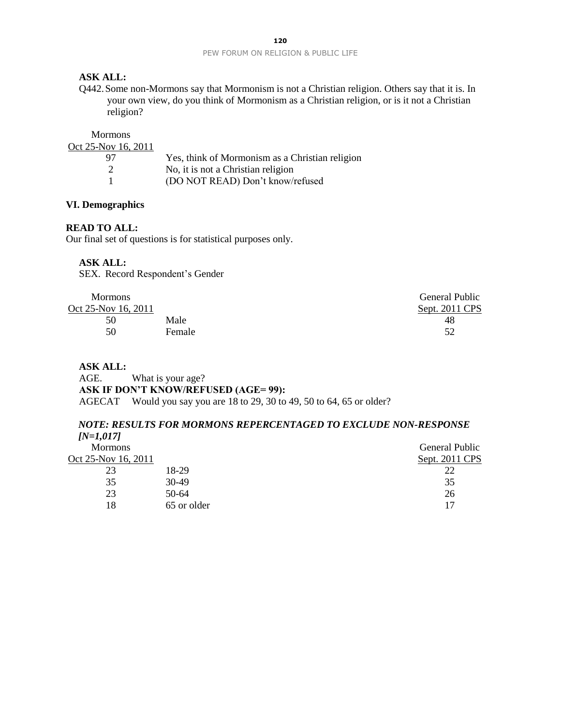## **ASK ALL:**

Q442.Some non-Mormons say that Mormonism is not a Christian religion. Others say that it is. In your own view, do you think of Mormonism as a Christian religion, or is it not a Christian religion?

| Yes, think of Mormonism as a Christian religion |
|-------------------------------------------------|
|                                                 |
| (DO NOT READ) Don't know/refused                |
|                                                 |

## **VI. Demographics**

#### **READ TO ALL:**

Our final set of questions is for statistical purposes only.

#### **ASK ALL:**

SEX. Record Respondent's Gender

| <b>Mormons</b>      |        | <b>General Public</b> |
|---------------------|--------|-----------------------|
| Oct 25-Nov 16, 2011 |        | Sept. 2011 CPS        |
| 50                  | Male   | 48                    |
| 50                  | Female | 52                    |
|                     |        |                       |

#### **ASK ALL:**

AGE. What is your age? **ASK IF DON'T KNOW/REFUSED (AGE= 99):** AGECAT Would you say you are 18 to 29, 30 to 49, 50 to 64, 65 or older?

#### *NOTE: RESULTS FOR MORMONS REPERCENTAGED TO EXCLUDE NON-RESPONSE [N=1,017]*

| $11-1,011$          |             |                |
|---------------------|-------------|----------------|
| <b>Mormons</b>      |             | General Public |
| Oct 25-Nov 16, 2011 |             | Sept. 2011 CPS |
| 23                  | 18-29       |                |
| 35                  | 30-49       | 35             |
| 23                  | $50-64$     | 26             |
| 18                  | 65 or older | 17             |
|                     |             |                |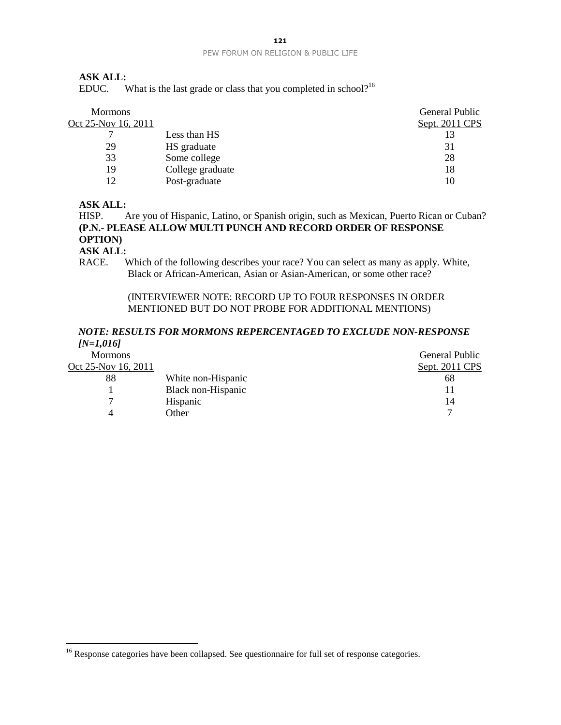#### **ASK ALL:**

EDUC. What is the last grade or class that you completed in school?<sup>16</sup>

| <b>Mormons</b>      |                  | General Public |
|---------------------|------------------|----------------|
| Oct 25-Nov 16, 2011 |                  | Sept. 2011 CPS |
|                     | Less than HS     |                |
| 29                  | HS graduate      | 31             |
| 33                  | Some college     | 28             |
| 19                  | College graduate | 18             |
|                     | Post-graduate    | 10             |

## **ASK ALL:**

HISP. Are you of Hispanic, Latino, or Spanish origin, such as Mexican, Puerto Rican or Cuban? **(P.N.- PLEASE ALLOW MULTI PUNCH AND RECORD ORDER OF RESPONSE OPTION)**

#### **ASK ALL:**

 $\overline{a}$ 

RACE. Which of the following describes your race? You can select as many as apply. White, Black or African-American, Asian or Asian-American, or some other race?

## (INTERVIEWER NOTE: RECORD UP TO FOUR RESPONSES IN ORDER MENTIONED BUT DO NOT PROBE FOR ADDITIONAL MENTIONS)

## *NOTE: RESULTS FOR MORMONS REPERCENTAGED TO EXCLUDE NON-RESPONSE [N=1,016]*

| <b>Mormons</b>      |                    | <b>General Public</b> |
|---------------------|--------------------|-----------------------|
| Oct 25-Nov 16, 2011 |                    | Sept. 2011 CPS        |
| 88                  | White non-Hispanic | 68                    |
|                     | Black non-Hispanic |                       |
| ⇁                   | Hispanic           | 14                    |
|                     | Other              |                       |
|                     |                    |                       |

<sup>&</sup>lt;sup>16</sup> Response categories have been collapsed. See questionnaire for full set of response categories.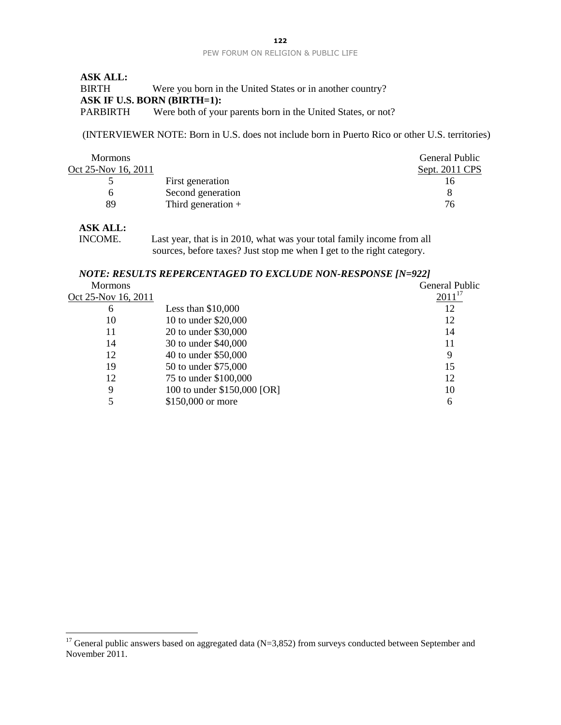| <b>ASK ALL:</b> |                                                              |
|-----------------|--------------------------------------------------------------|
| BIRTH           | Were you born in the United States or in another country?    |
|                 | <b>ASK IF U.S. BORN (BIRTH=1):</b>                           |
| PARBIRTH        | Were both of your parents born in the United States, or not? |

(INTERVIEWER NOTE: Born in U.S. does not include born in Puerto Rico or other U.S. territories)

| <b>Mormons</b>      |                      | <b>General Public</b> |
|---------------------|----------------------|-----------------------|
| Oct 25-Nov 16, 2011 |                      | Sept. 2011 CPS        |
|                     | First generation     | I b                   |
|                     | Second generation    |                       |
| 89                  | Third generation $+$ | 76                    |

## **ASK ALL:**

 $\overline{a}$ 

INCOME. Last year, that is in 2010, what was your total family income from all sources, before taxes? Just stop me when I get to the right category.

## *NOTE: RESULTS REPERCENTAGED TO EXCLUDE NON-RESPONSE [N=922]*

| <b>Mormons</b>      |                             | <b>General Public</b> |
|---------------------|-----------------------------|-----------------------|
| Oct 25-Nov 16, 2011 |                             | $2011^{17}$           |
| 6                   | Less than $$10,000$         | 12                    |
| 10                  | 10 to under \$20,000        | 12                    |
| 11                  | 20 to under \$30,000        | 14                    |
| 14                  | 30 to under \$40,000        | 11                    |
| 12                  | 40 to under \$50,000        | 9                     |
| 19                  | 50 to under \$75,000        | 15                    |
| 12                  | 75 to under \$100,000       | 12                    |
| 9                   | 100 to under \$150,000 [OR] | 10                    |
|                     | \$150,000 or more           | 6                     |
|                     |                             |                       |

<sup>&</sup>lt;sup>17</sup> General public answers based on aggregated data (N=3,852) from surveys conducted between September and November 2011.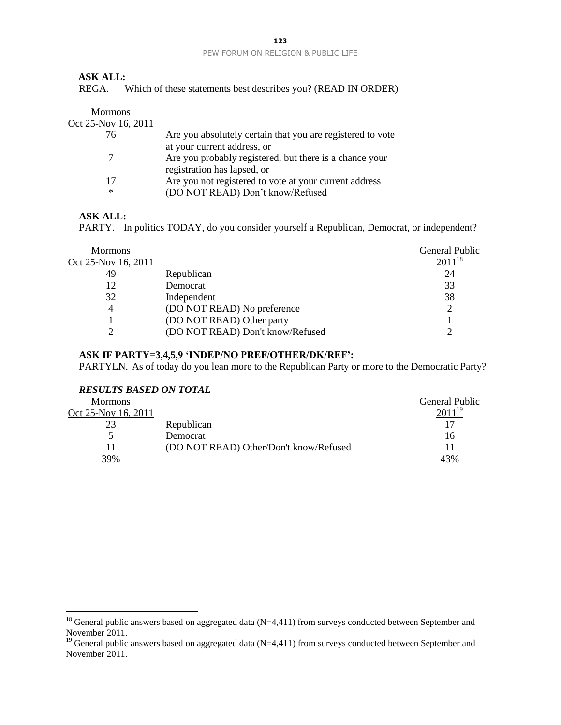## **ASK ALL:**

REGA. Which of these statements best describes you? (READ IN ORDER)

| <b>Mormons</b>      |                                                                                            |
|---------------------|--------------------------------------------------------------------------------------------|
| Oct 25-Nov 16, 2011 |                                                                                            |
| 76                  | Are you absolutely certain that you are registered to vote<br>at your current address, or  |
|                     | Are you probably registered, but there is a chance your<br>registration has lapsed, or     |
| 17<br>∗             | Are you not registered to vote at your current address<br>(DO NOT READ) Don't know/Refused |

#### **ASK ALL:**

 $\overline{a}$ 

PARTY. In politics TODAY, do you consider yourself a Republican, Democrat, or independent?

| <b>Mormons</b>      |                                  | <b>General Public</b> |
|---------------------|----------------------------------|-----------------------|
| Oct 25-Nov 16, 2011 |                                  | $2011^{18}$           |
| 49                  | Republican                       | 24                    |
| 12                  | Democrat                         | 33                    |
| 32                  | Independent                      | 38                    |
| 4                   | (DO NOT READ) No preference      |                       |
|                     | (DO NOT READ) Other party        |                       |
|                     | (DO NOT READ) Don't know/Refused |                       |
|                     |                                  |                       |

#### **ASK IF PARTY=3,4,5,9 'INDEP/NO PREF/OTHER/DK/REF':**

PARTYLN. As of today do you lean more to the Republican Party or more to the Democratic Party?

#### *RESULTS BASED ON TOTAL*

| <b>Mormons</b>      |                                        | <b>General Public</b> |
|---------------------|----------------------------------------|-----------------------|
| Oct 25-Nov 16, 2011 |                                        | 2011 <sup>19</sup>    |
|                     | Republican                             | 17                    |
|                     | Democrat                               | 16                    |
|                     | (DO NOT READ) Other/Don't know/Refused | 11                    |
| 39%                 |                                        | 43%                   |

 $18$  General public answers based on aggregated data (N=4,411) from surveys conducted between September and November 2011.

<sup>&</sup>lt;sup>19</sup> General public answers based on aggregated data  $(N=4,411)$  from surveys conducted between September and November 2011.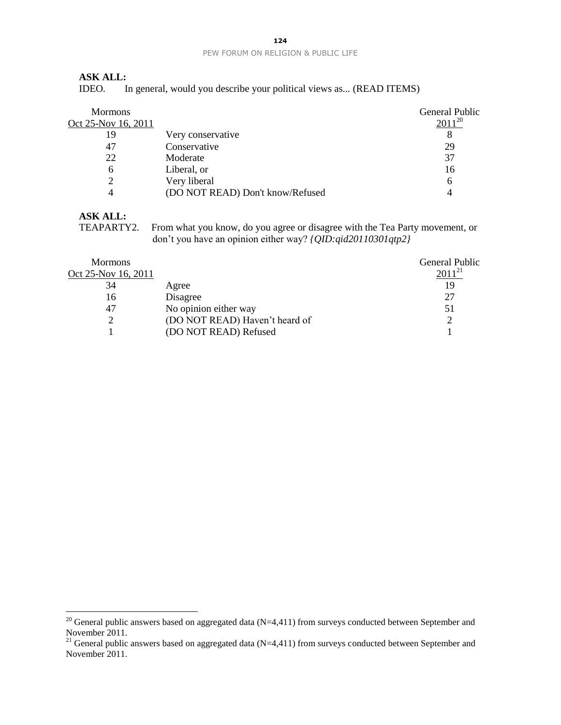## **ASK ALL:**

IDEO. In general, would you describe your political views as... (READ ITEMS)

| <b>Mormons</b><br>Oct 25-Nov 16, 2011 |                                  | <b>General Public</b><br>$2011^{20}$ |
|---------------------------------------|----------------------------------|--------------------------------------|
| 19                                    | Very conservative                |                                      |
| 47                                    | Conservative                     | 29                                   |
| 22                                    | Moderate                         | 37                                   |
| 6                                     | Liberal, or                      | 16                                   |
|                                       | Very liberal                     | 6                                    |
|                                       | (DO NOT READ) Don't know/Refused |                                      |

# **ASK ALL:**<br>TEAPARTY2.

 $\overline{a}$ 

From what you know, do you agree or disagree with the Tea Party movement, or don't you have an opinion either way? *{QID:qid20110301qtp2}*

| <b>Mormons</b>      |                                | <b>General Public</b> |
|---------------------|--------------------------------|-----------------------|
| Oct 25-Nov 16, 2011 |                                | $2011^{21}$           |
| 34                  | Agree                          | 19                    |
| 16                  | Disagree                       | 27                    |
| 47                  | No opinion either way          | 51                    |
|                     | (DO NOT READ) Haven't heard of |                       |
|                     | (DO NOT READ) Refused          |                       |

<sup>&</sup>lt;sup>20</sup> General public answers based on aggregated data (N=4,411) from surveys conducted between September and November 2011.

<sup>&</sup>lt;sup>21</sup> General public answers based on aggregated data (N=4,411) from surveys conducted between September and November 2011.